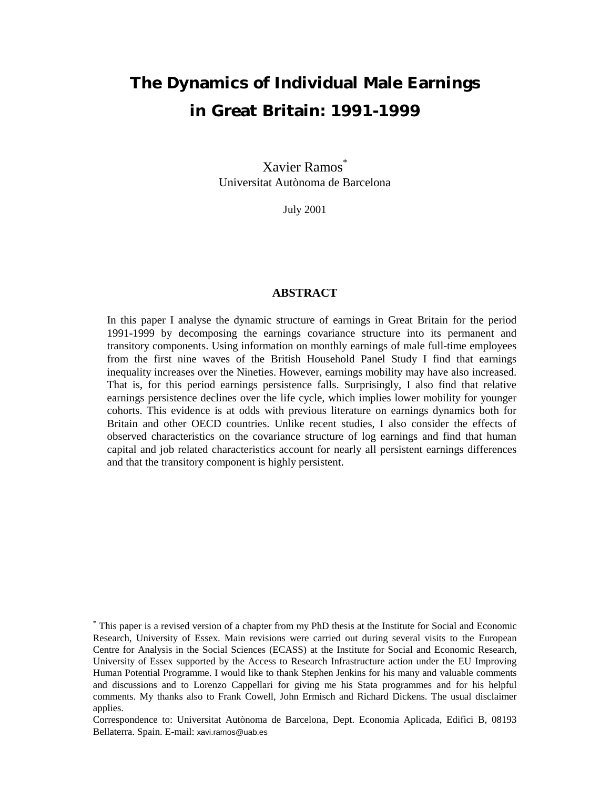# **The Dynamics of Individual Male Earnings in Great Britain: 1991-1999**

Xavier Ramos<sup>\*</sup> Universitat Autònoma de Barcelona

July 2001

#### **ABSTRACT**

In this paper I analyse the dynamic structure of earnings in Great Britain for the period 1991-1999 by decomposing the earnings covariance structure into its permanent and transitory components. Using information on monthly earnings of male full-time employees from the first nine waves of the British Household Panel Study I find that earnings inequality increases over the Nineties. However, earnings mobility may have also increased. That is, for this period earnings persistence falls. Surprisingly, I also find that relative earnings persistence declines over the life cycle, which implies lower mobility for younger cohorts. This evidence is at odds with previous literature on earnings dynamics both for Britain and other OECD countries. Unlike recent studies, I also consider the effects of observed characteristics on the covariance structure of log earnings and find that human capital and job related characteristics account for nearly all persistent earnings differences and that the transitory component is highly persistent.

<sup>\*</sup> This paper is a revised version of a chapter from my PhD thesis at the Institute for Social and Economic Research, University of Essex. Main revisions were carried out during several visits to the European Centre for Analysis in the Social Sciences (ECASS) at the Institute for Social and Economic Research, University of Essex supported by the Access to Research Infrastructure action under the EU Improving Human Potential Programme. I would like to thank Stephen Jenkins for his many and valuable comments and discussions and to Lorenzo Cappellari for giving me his Stata programmes and for his helpful comments. My thanks also to Frank Cowell, John Ermisch and Richard Dickens. The usual disclaimer applies.

Correspondence to: Universitat Autònoma de Barcelona, Dept. Economia Aplicada, Edifici B, 08193 Bellaterra. Spain. E-mail: xavi.ramos@uab.es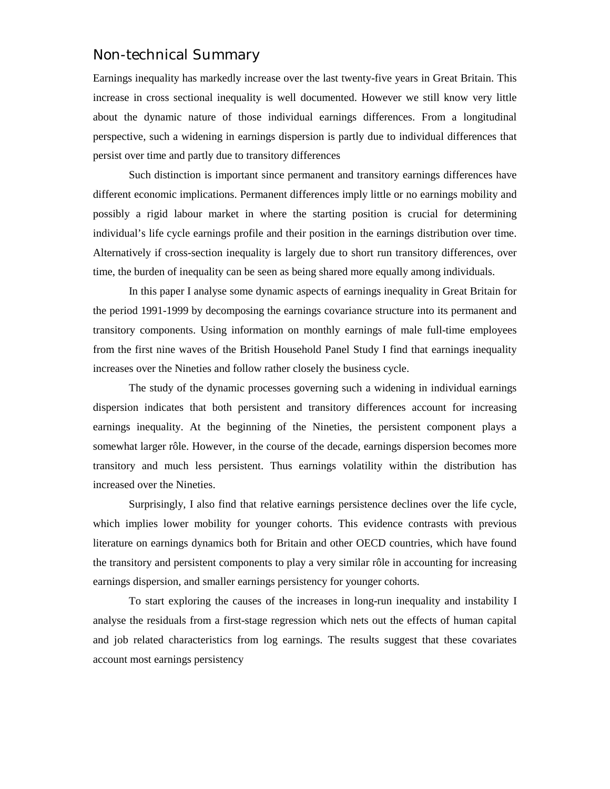# Non-technical Summary

Earnings inequality has markedly increase over the last twenty-five years in Great Britain. This increase in cross sectional inequality is well documented. However we still know very little about the dynamic nature of those individual earnings differences. From a longitudinal perspective, such a widening in earnings dispersion is partly due to individual differences that persist over time and partly due to transitory differences

Such distinction is important since permanent and transitory earnings differences have different economic implications. Permanent differences imply little or no earnings mobility and possibly a rigid labour market in where the starting position is crucial for determining individual's life cycle earnings profile and their position in the earnings distribution over time. Alternatively if cross-section inequality is largely due to short run transitory differences, over time, the burden of inequality can be seen as being shared more equally among individuals.

In this paper I analyse some dynamic aspects of earnings inequality in Great Britain for the period 1991-1999 by decomposing the earnings covariance structure into its permanent and transitory components. Using information on monthly earnings of male full-time employees from the first nine waves of the British Household Panel Study I find that earnings inequality increases over the Nineties and follow rather closely the business cycle.

The study of the dynamic processes governing such a widening in individual earnings dispersion indicates that both persistent and transitory differences account for increasing earnings inequality. At the beginning of the Nineties, the persistent component plays a somewhat larger rôle. However, in the course of the decade, earnings dispersion becomes more transitory and much less persistent. Thus earnings volatility within the distribution has increased over the Nineties.

Surprisingly, I also find that relative earnings persistence declines over the life cycle, which implies lower mobility for younger cohorts. This evidence contrasts with previous literature on earnings dynamics both for Britain and other OECD countries, which have found the transitory and persistent components to play a very similar rôle in accounting for increasing earnings dispersion, and smaller earnings persistency for younger cohorts.

To start exploring the causes of the increases in long-run inequality and instability I analyse the residuals from a first-stage regression which nets out the effects of human capital and job related characteristics from log earnings. The results suggest that these covariates account most earnings persistency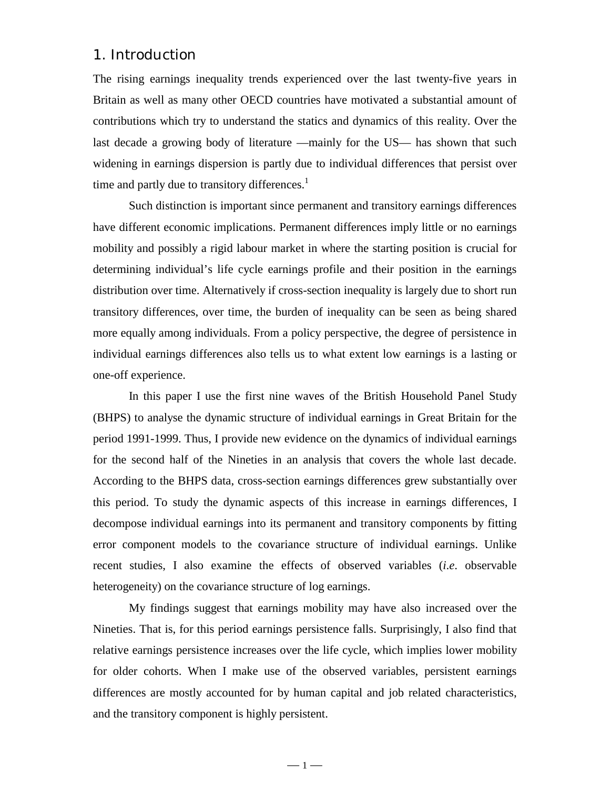## 1. Introduction

The rising earnings inequality trends experienced over the last twenty-five years in Britain as well as many other OECD countries have motivated a substantial amount of contributions which try to understand the statics and dynamics of this reality. Over the last decade a growing body of literature —mainly for the US— has shown that such widening in earnings dispersion is partly due to individual differences that persist over time and partly due to transitory differences. $<sup>1</sup>$ </sup>

Such distinction is important since permanent and transitory earnings differences have different economic implications. Permanent differences imply little or no earnings mobility and possibly a rigid labour market in where the starting position is crucial for determining individual's life cycle earnings profile and their position in the earnings distribution over time. Alternatively if cross-section inequality is largely due to short run transitory differences, over time, the burden of inequality can be seen as being shared more equally among individuals. From a policy perspective, the degree of persistence in individual earnings differences also tells us to what extent low earnings is a lasting or one-off experience.

In this paper I use the first nine waves of the British Household Panel Study (BHPS) to analyse the dynamic structure of individual earnings in Great Britain for the period 1991-1999. Thus, I provide new evidence on the dynamics of individual earnings for the second half of the Nineties in an analysis that covers the whole last decade. According to the BHPS data, cross-section earnings differences grew substantially over this period. To study the dynamic aspects of this increase in earnings differences, I decompose individual earnings into its permanent and transitory components by fitting error component models to the covariance structure of individual earnings. Unlike recent studies, I also examine the effects of observed variables (*i*.*e*. observable heterogeneity) on the covariance structure of log earnings.

My findings suggest that earnings mobility may have also increased over the Nineties. That is, for this period earnings persistence falls. Surprisingly, I also find that relative earnings persistence increases over the life cycle, which implies lower mobility for older cohorts. When I make use of the observed variables, persistent earnings differences are mostly accounted for by human capital and job related characteristics, and the transitory component is highly persistent.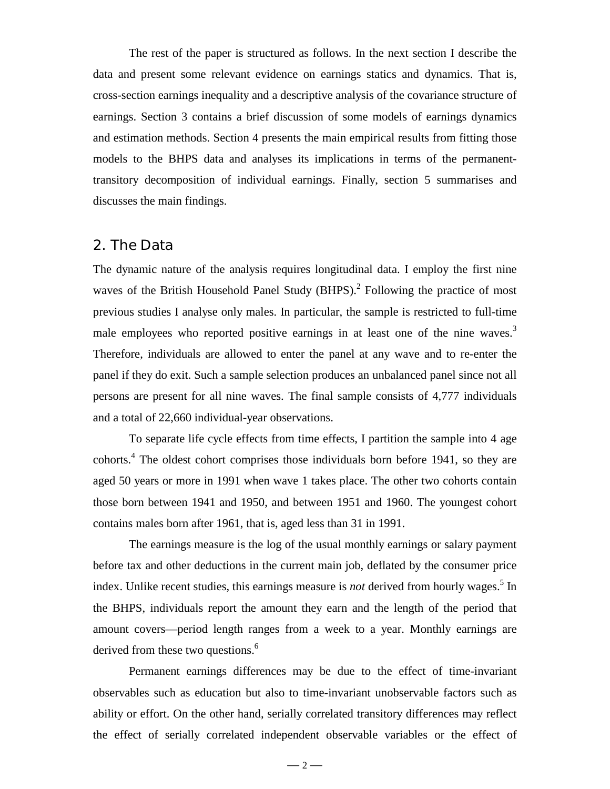The rest of the paper is structured as follows. In the next section I describe the data and present some relevant evidence on earnings statics and dynamics. That is, cross-section earnings inequality and a descriptive analysis of the covariance structure of earnings. Section 3 contains a brief discussion of some models of earnings dynamics and estimation methods. Section 4 presents the main empirical results from fitting those models to the BHPS data and analyses its implications in terms of the permanenttransitory decomposition of individual earnings. Finally, section 5 summarises and discusses the main findings.

#### 2. The Data

The dynamic nature of the analysis requires longitudinal data. I employ the first nine waves of the British Household Panel Study (BHPS).<sup>2</sup> Following the practice of most previous studies I analyse only males. In particular, the sample is restricted to full-time male employees who reported positive earnings in at least one of the nine waves.<sup>3</sup> Therefore, individuals are allowed to enter the panel at any wave and to re-enter the panel if they do exit. Such a sample selection produces an unbalanced panel since not all persons are present for all nine waves. The final sample consists of 4,777 individuals and a total of 22,660 individual-year observations.

To separate life cycle effects from time effects, I partition the sample into 4 age cohorts.4 The oldest cohort comprises those individuals born before 1941, so they are aged 50 years or more in 1991 when wave 1 takes place. The other two cohorts contain those born between 1941 and 1950, and between 1951 and 1960. The youngest cohort contains males born after 1961, that is, aged less than 31 in 1991.

The earnings measure is the log of the usual monthly earnings or salary payment before tax and other deductions in the current main job, deflated by the consumer price index. Unlike recent studies, this earnings measure is *not* derived from hourly wages.<sup>5</sup> In the BHPS, individuals report the amount they earn and the length of the period that amount covers—period length ranges from a week to a year. Monthly earnings are derived from these two questions.<sup>6</sup>

Permanent earnings differences may be due to the effect of time-invariant observables such as education but also to time-invariant unobservable factors such as ability or effort. On the other hand, serially correlated transitory differences may reflect the effect of serially correlated independent observable variables or the effect of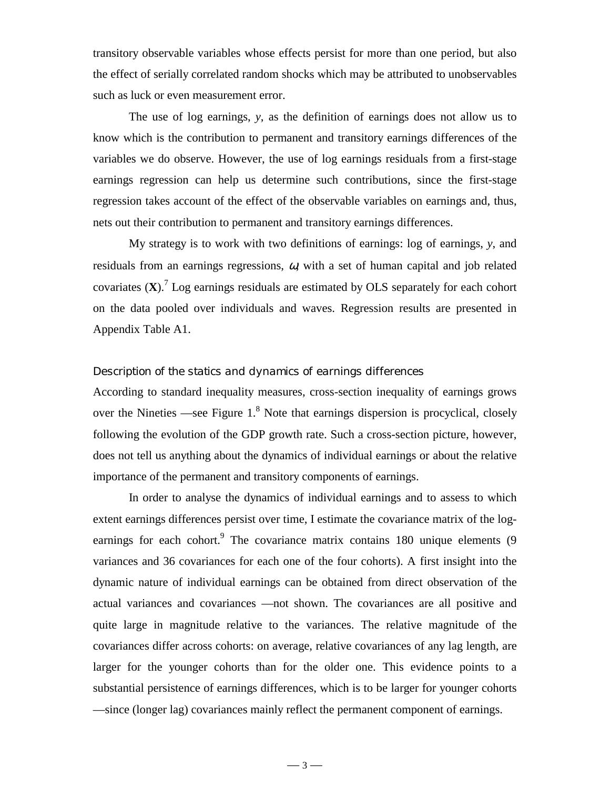transitory observable variables whose effects persist for more than one period, but also the effect of serially correlated random shocks which may be attributed to unobservables such as luck or even measurement error.

The use of log earnings, *y*, as the definition of earnings does not allow us to know which is the contribution to permanent and transitory earnings differences of the variables we do observe. However, the use of log earnings residuals from a first-stage earnings regression can help us determine such contributions, since the first-stage regression takes account of the effect of the observable variables on earnings and, thus, nets out their contribution to permanent and transitory earnings differences.

My strategy is to work with two definitions of earnings: log of earnings, *y*, and residuals from an earnings regressions,  $\omega$ , with a set of human capital and job related covariates (**X**).7 Log earnings residuals are estimated by OLS separately for each cohort on the data pooled over individuals and waves. Regression results are presented in Appendix Table A1.

#### *Description of the statics and dynamics of earnings differences*

According to standard inequality measures, cross-section inequality of earnings grows over the Nineties —see Figure  $1<sup>8</sup>$  Note that earnings dispersion is procyclical, closely following the evolution of the GDP growth rate. Such a cross-section picture, however, does not tell us anything about the dynamics of individual earnings or about the relative importance of the permanent and transitory components of earnings.

In order to analyse the dynamics of individual earnings and to assess to which extent earnings differences persist over time, I estimate the covariance matrix of the logearnings for each cohort.<sup>9</sup> The covariance matrix contains 180 unique elements (9 variances and 36 covariances for each one of the four cohorts). A first insight into the dynamic nature of individual earnings can be obtained from direct observation of the actual variances and covariances —not shown. The covariances are all positive and quite large in magnitude relative to the variances. The relative magnitude of the covariances differ across cohorts: on average, relative covariances of any lag length, are larger for the younger cohorts than for the older one. This evidence points to a substantial persistence of earnings differences, which is to be larger for younger cohorts —since (longer lag) covariances mainly reflect the permanent component of earnings.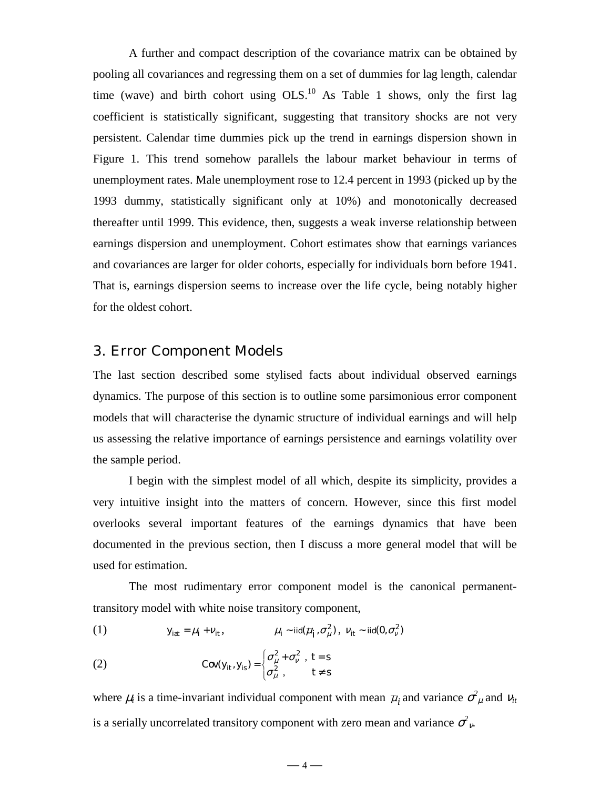A further and compact description of the covariance matrix can be obtained by pooling all covariances and regressing them on a set of dummies for lag length, calendar time (wave) and birth cohort using  $OLS^{10}$ . As Table 1 shows, only the first lag coefficient is statistically significant, suggesting that transitory shocks are not very persistent. Calendar time dummies pick up the trend in earnings dispersion shown in Figure 1. This trend somehow parallels the labour market behaviour in terms of unemployment rates. Male unemployment rose to 12.4 percent in 1993 (picked up by the 1993 dummy, statistically significant only at 10%) and monotonically decreased thereafter until 1999. This evidence, then, suggests a weak inverse relationship between earnings dispersion and unemployment. Cohort estimates show that earnings variances and covariances are larger for older cohorts, especially for individuals born before 1941. That is, earnings dispersion seems to increase over the life cycle, being notably higher for the oldest cohort.

## 3. Error Component Models

The last section described some stylised facts about individual observed earnings dynamics. The purpose of this section is to outline some parsimonious error component models that will characterise the dynamic structure of individual earnings and will help us assessing the relative importance of earnings persistence and earnings volatility over the sample period.

I begin with the simplest model of all which, despite its simplicity, provides a very intuitive insight into the matters of concern. However, since this first model overlooks several important features of the earnings dynamics that have been documented in the previous section, then I discuss a more general model that will be used for estimation.

The most rudimentary error component model is the canonical permanenttransitory model with white noise transitory component,

(1) 
$$
y_{iat} = \mu_i + v_{it}, \qquad \mu_i \sim \text{iid}(\mu_i, \sigma_{\mu}^2), \quad v_{it} \sim \text{iid}(0, \sigma_{\nu}^2)
$$

(2) 
$$
Cov(y_{it}, y_{is}) = \begin{cases} \sigma_{\mu}^{2} + \sigma_{\nu}^{2} , & t = s \\ \sigma_{\mu}^{2} , & t \neq s \end{cases}
$$

where  $\mu_i$  is a time-invariant individual component with mean  $\bar{\mu}_i$  and variance  $\sigma^2_{\mu}$  and  $v_{it}$ is a serially uncorrelated transitory component with zero mean and variance  $\sigma_{\nu}^2$ .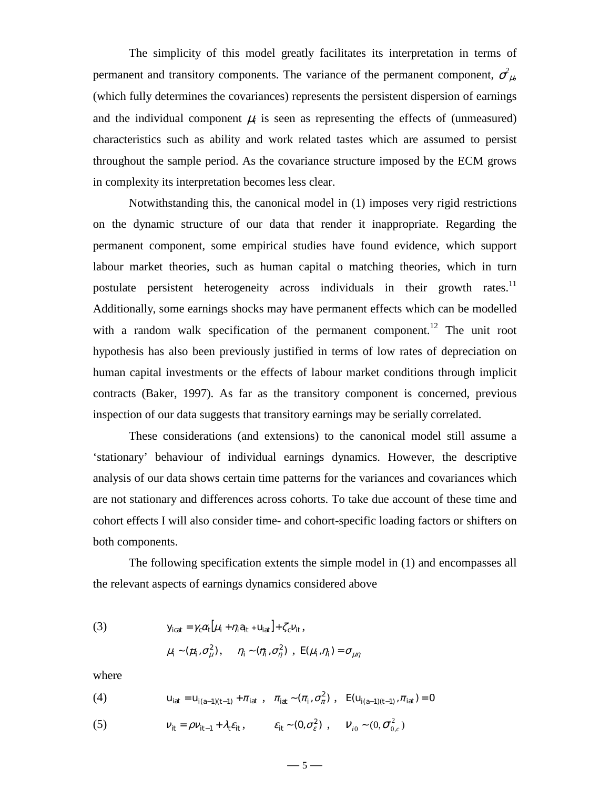The simplicity of this model greatly facilitates its interpretation in terms of permanent and transitory components. The variance of the permanent component,  $\sigma^2_{\mu}$ , (which fully determines the covariances) represents the persistent dispersion of earnings and the individual component  $\mu_i$  is seen as representing the effects of (unmeasured) characteristics such as ability and work related tastes which are assumed to persist throughout the sample period. As the covariance structure imposed by the ECM grows in complexity its interpretation becomes less clear.

Notwithstanding this, the canonical model in (1) imposes very rigid restrictions on the dynamic structure of our data that render it inappropriate. Regarding the permanent component, some empirical studies have found evidence, which support labour market theories, such as human capital o matching theories, which in turn postulate persistent heterogeneity across individuals in their growth rates.<sup>11</sup> Additionally, some earnings shocks may have permanent effects which can be modelled with a random walk specification of the permanent component.<sup>12</sup> The unit root hypothesis has also been previously justified in terms of low rates of depreciation on human capital investments or the effects of labour market conditions through implicit contracts (Baker, 1997). As far as the transitory component is concerned, previous inspection of our data suggests that transitory earnings may be serially correlated.

These considerations (and extensions) to the canonical model still assume a 'stationary' behaviour of individual earnings dynamics. However, the descriptive analysis of our data shows certain time patterns for the variances and covariances which are not stationary and differences across cohorts. To take due account of these time and cohort effects I will also consider time- and cohort-specific loading factors or shifters on both components.

The following specification extents the simple model in (1) and encompasses all the relevant aspects of earnings dynamics considered above

(3) 
$$
y_{icat} = \gamma_c \alpha_t [\mu_i + \eta_i a_{it} + u_{iat}] + \zeta_c v_{it},
$$

$$
\mu_i \sim (\mu_i, \sigma_\mu^2), \quad \eta_i \sim (\eta_i, \sigma_\eta^2), \quad E(\mu_i, \eta_i) = \sigma_{\mu\eta}
$$

where

(4) 
$$
u_{iat} = u_{i(a-1)(t-1)} + \pi_{iat} , \quad \pi_{iat} \sim (\pi_i, \sigma_\pi^2) , \quad E(u_{i(a-1)(t-1)}, \pi_{iat}) = 0
$$

(5)  $V_{it} = \rho V_{it-1} + \lambda_t \varepsilon_{it}, \qquad \varepsilon_{it} \sim (0, \sigma_{\varepsilon}^2) , \qquad V_{i0} \sim (0, \sigma_{0,c}^2)$ 

 $-5-$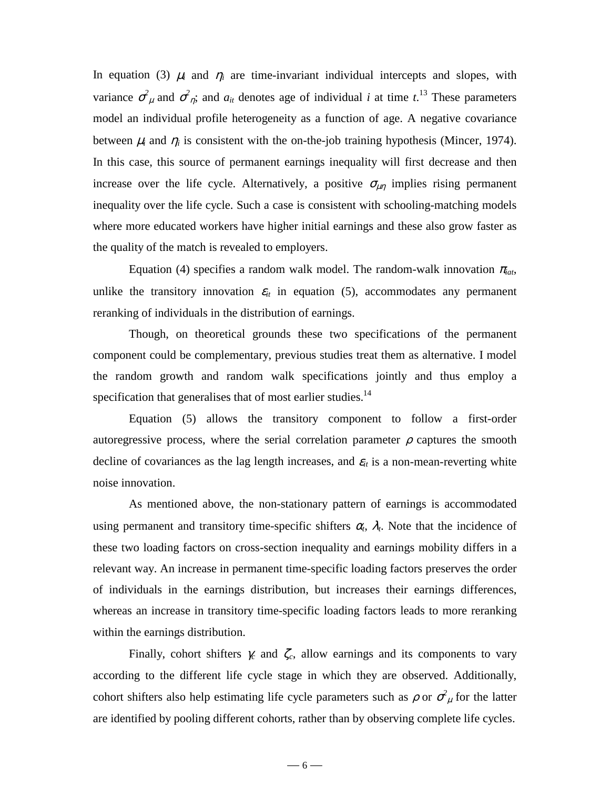In equation (3)  $\mu_i$  and  $\eta_i$  are time-invariant individual intercepts and slopes, with variance  $\sigma^2_{\mu}$  and  $\sigma^2_{\eta}$ ; and  $a_{it}$  denotes age of individual *i* at time *t*.<sup>13</sup> These parameters model an individual profile heterogeneity as a function of age. A negative covariance between  $\mu_i$  and  $\eta_i$  is consistent with the on-the-job training hypothesis (Mincer, 1974). In this case, this source of permanent earnings inequality will first decrease and then increase over the life cycle. Alternatively, a positive  $\sigma_{\mu\eta}$  implies rising permanent inequality over the life cycle. Such a case is consistent with schooling-matching models where more educated workers have higher initial earnings and these also grow faster as the quality of the match is revealed to employers.

Equation (4) specifies a random walk model. The random-walk innovation  $\pi_{iat}$ , unlike the transitory innovation  $\varepsilon_{it}$  in equation (5), accommodates any permanent reranking of individuals in the distribution of earnings.

Though, on theoretical grounds these two specifications of the permanent component could be complementary, previous studies treat them as alternative. I model the random growth and random walk specifications jointly and thus employ a specification that generalises that of most earlier studies.<sup>14</sup>

Equation (5) allows the transitory component to follow a first-order autoregressive process, where the serial correlation parameter  $\rho$  captures the smooth decline of covariances as the lag length increases, and  $\varepsilon$ <sub>*it*</sub> is a non-mean-reverting white noise innovation.

As mentioned above, the non-stationary pattern of earnings is accommodated using permanent and transitory time-specific shifters  $\alpha_t$ ,  $\lambda_t$ . Note that the incidence of these two loading factors on cross-section inequality and earnings mobility differs in a relevant way. An increase in permanent time-specific loading factors preserves the order of individuals in the earnings distribution, but increases their earnings differences, whereas an increase in transitory time-specific loading factors leads to more reranking within the earnings distribution.

Finally, cohort shifters  $\gamma_c$  and  $\zeta_c$ , allow earnings and its components to vary according to the different life cycle stage in which they are observed. Additionally, cohort shifters also help estimating life cycle parameters such as  $\rho$  or  $\sigma^2_{\mu}$  for the latter are identified by pooling different cohorts, rather than by observing complete life cycles.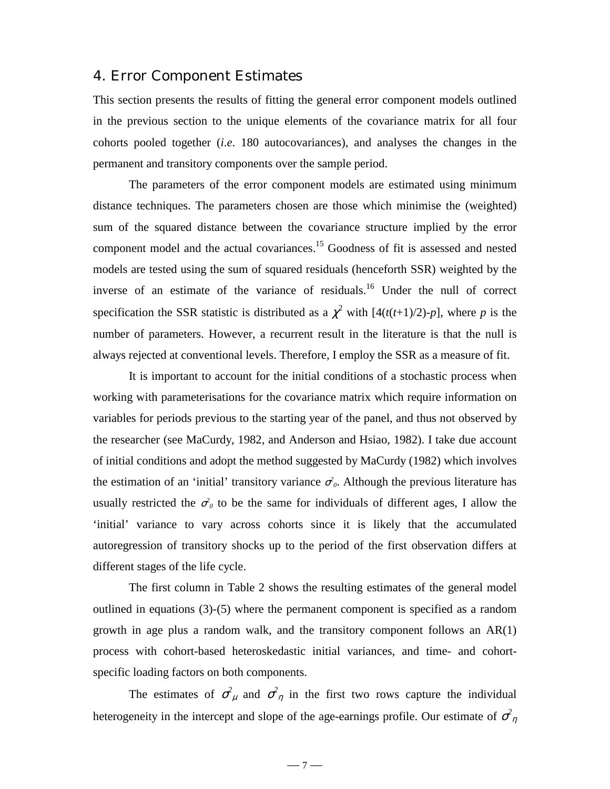## 4. Error Component Estimates

This section presents the results of fitting the general error component models outlined in the previous section to the unique elements of the covariance matrix for all four cohorts pooled together (*i*.*e*. 180 autocovariances), and analyses the changes in the permanent and transitory components over the sample period.

The parameters of the error component models are estimated using minimum distance techniques. The parameters chosen are those which minimise the (weighted) sum of the squared distance between the covariance structure implied by the error component model and the actual covariances.<sup>15</sup> Goodness of fit is assessed and nested models are tested using the sum of squared residuals (henceforth SSR) weighted by the inverse of an estimate of the variance of residuals.<sup>16</sup> Under the null of correct specification the SSR statistic is distributed as a  $\chi^2$  with  $[4(t(t+1)/2)-p]$ , where p is the number of parameters. However, a recurrent result in the literature is that the null is always rejected at conventional levels. Therefore, I employ the SSR as a measure of fit.

It is important to account for the initial conditions of a stochastic process when working with parameterisations for the covariance matrix which require information on variables for periods previous to the starting year of the panel, and thus not observed by the researcher (see MaCurdy, 1982, and Anderson and Hsiao, 1982). I take due account of initial conditions and adopt the method suggested by MaCurdy (1982) which involves the estimation of an 'initial' transitory variance  $\sigma_o^2$ . Although the previous literature has usually restricted the  $\sigma_0$  to be the same for individuals of different ages, I allow the 'initial' variance to vary across cohorts since it is likely that the accumulated autoregression of transitory shocks up to the period of the first observation differs at different stages of the life cycle.

The first column in Table 2 shows the resulting estimates of the general model outlined in equations (3)-(5) where the permanent component is specified as a random growth in age plus a random walk, and the transitory component follows an AR(1) process with cohort-based heteroskedastic initial variances, and time- and cohortspecific loading factors on both components.

The estimates of  $\sigma^2_{\mu}$  and  $\sigma^2_{\eta}$  in the first two rows capture the individual heterogeneity in the intercept and slope of the age-earnings profile. Our estimate of  $\sigma^2_{\eta}$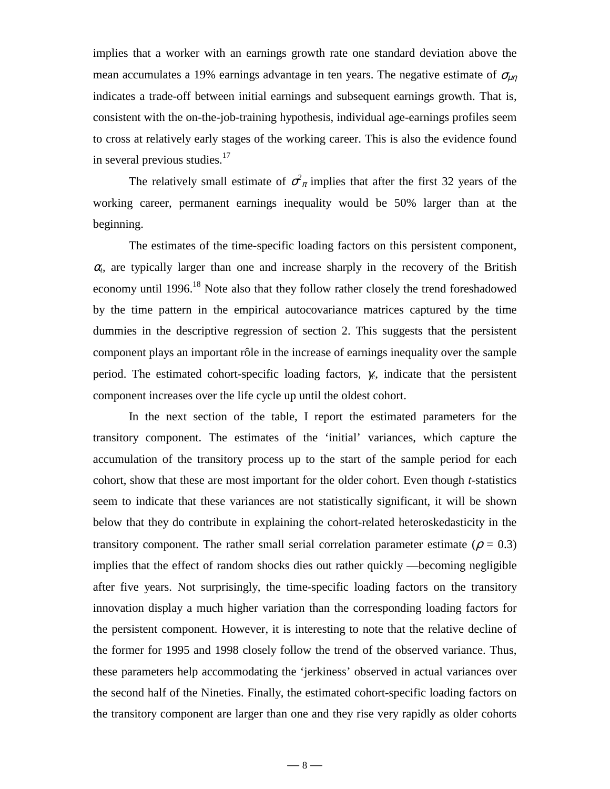implies that a worker with an earnings growth rate one standard deviation above the mean accumulates a 19% earnings advantage in ten years. The negative estimate of  $\sigma_{\mu\eta}$ indicates a trade-off between initial earnings and subsequent earnings growth. That is, consistent with the on-the-job-training hypothesis, individual age-earnings profiles seem to cross at relatively early stages of the working career. This is also the evidence found in several previous studies.<sup>17</sup>

The relatively small estimate of  $\sigma^2_{\pi}$  implies that after the first 32 years of the working career, permanent earnings inequality would be 50% larger than at the beginning.

The estimates of the time-specific loading factors on this persistent component,  $\alpha$ <sub>t</sub>, are typically larger than one and increase sharply in the recovery of the British economy until 1996.<sup>18</sup> Note also that they follow rather closely the trend foreshadowed by the time pattern in the empirical autocovariance matrices captured by the time dummies in the descriptive regression of section 2. This suggests that the persistent component plays an important rôle in the increase of earnings inequality over the sample period. The estimated cohort-specific loading factors, γ*c*, indicate that the persistent component increases over the life cycle up until the oldest cohort.

In the next section of the table, I report the estimated parameters for the transitory component. The estimates of the 'initial' variances, which capture the accumulation of the transitory process up to the start of the sample period for each cohort, show that these are most important for the older cohort. Even though *t*-statistics seem to indicate that these variances are not statistically significant, it will be shown below that they do contribute in explaining the cohort-related heteroskedasticity in the transitory component. The rather small serial correlation parameter estimate ( $\rho = 0.3$ ) implies that the effect of random shocks dies out rather quickly —becoming negligible after five years. Not surprisingly, the time-specific loading factors on the transitory innovation display a much higher variation than the corresponding loading factors for the persistent component. However, it is interesting to note that the relative decline of the former for 1995 and 1998 closely follow the trend of the observed variance. Thus, these parameters help accommodating the 'jerkiness' observed in actual variances over the second half of the Nineties. Finally, the estimated cohort-specific loading factors on the transitory component are larger than one and they rise very rapidly as older cohorts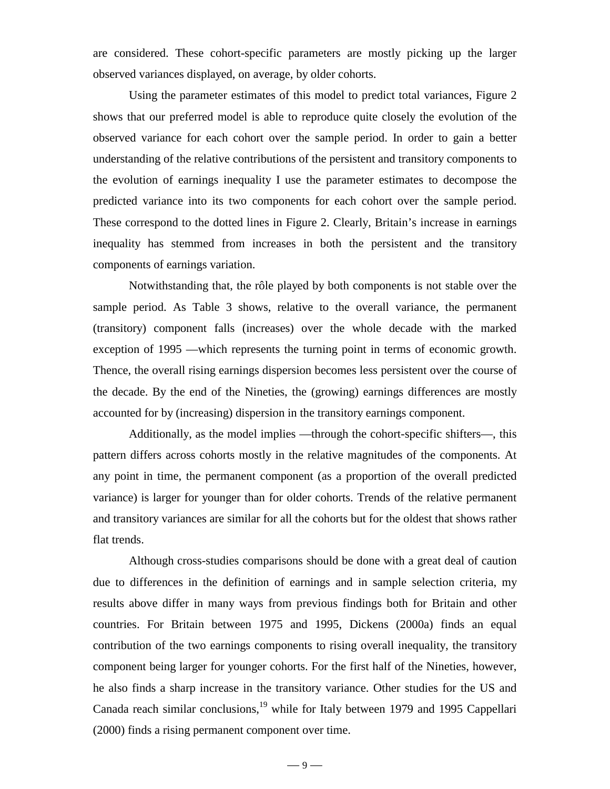are considered. These cohort-specific parameters are mostly picking up the larger observed variances displayed, on average, by older cohorts.

Using the parameter estimates of this model to predict total variances, Figure 2 shows that our preferred model is able to reproduce quite closely the evolution of the observed variance for each cohort over the sample period. In order to gain a better understanding of the relative contributions of the persistent and transitory components to the evolution of earnings inequality I use the parameter estimates to decompose the predicted variance into its two components for each cohort over the sample period. These correspond to the dotted lines in Figure 2. Clearly, Britain's increase in earnings inequality has stemmed from increases in both the persistent and the transitory components of earnings variation.

Notwithstanding that, the rôle played by both components is not stable over the sample period. As Table 3 shows, relative to the overall variance, the permanent (transitory) component falls (increases) over the whole decade with the marked exception of 1995 —which represents the turning point in terms of economic growth. Thence, the overall rising earnings dispersion becomes less persistent over the course of the decade. By the end of the Nineties, the (growing) earnings differences are mostly accounted for by (increasing) dispersion in the transitory earnings component.

Additionally, as the model implies —through the cohort-specific shifters—, this pattern differs across cohorts mostly in the relative magnitudes of the components. At any point in time, the permanent component (as a proportion of the overall predicted variance) is larger for younger than for older cohorts. Trends of the relative permanent and transitory variances are similar for all the cohorts but for the oldest that shows rather flat trends.

Although cross-studies comparisons should be done with a great deal of caution due to differences in the definition of earnings and in sample selection criteria, my results above differ in many ways from previous findings both for Britain and other countries. For Britain between 1975 and 1995, Dickens (2000a) finds an equal contribution of the two earnings components to rising overall inequality, the transitory component being larger for younger cohorts. For the first half of the Nineties, however, he also finds a sharp increase in the transitory variance. Other studies for the US and Canada reach similar conclusions,  $19$  while for Italy between 1979 and 1995 Cappellari (2000) finds a rising permanent component over time.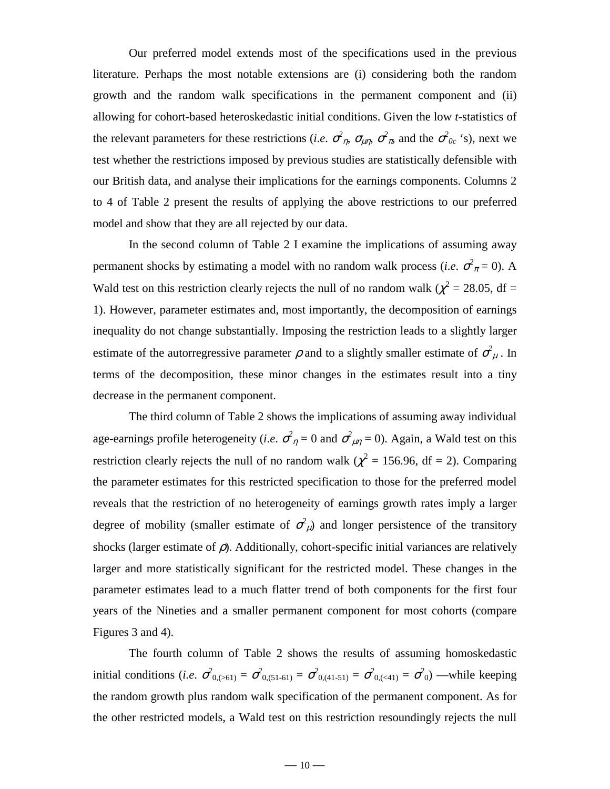Our preferred model extends most of the specifications used in the previous literature. Perhaps the most notable extensions are (i) considering both the random growth and the random walk specifications in the permanent component and (ii) allowing for cohort-based heteroskedastic initial conditions. Given the low *t*-statistics of the relevant parameters for these restrictions (*i.e.*  $\sigma$ <sup>2</sup><sub>*n*</sub>,  $\sigma$ <sub>*μn*</sub>,  $\sigma$ <sup>2</sup><sub>*π*</sub>, and the  $\sigma$ <sup>2</sup><sub>0c</sub> 's), next we test whether the restrictions imposed by previous studies are statistically defensible with our British data, and analyse their implications for the earnings components. Columns 2 to 4 of Table 2 present the results of applying the above restrictions to our preferred model and show that they are all rejected by our data.

In the second column of Table 2 I examine the implications of assuming away permanent shocks by estimating a model with no random walk process (*i.e.*  $\sigma^2 \bar{x} = 0$ ). A Wald test on this restriction clearly rejects the null of no random walk ( $\chi^2$  = 28.05, df = 1). However, parameter estimates and, most importantly, the decomposition of earnings inequality do not change substantially. Imposing the restriction leads to a slightly larger estimate of the autorregressive parameter  $\rho$  and to a slightly smaller estimate of  $\sigma^2_{\mu}$ . In terms of the decomposition, these minor changes in the estimates result into a tiny decrease in the permanent component.

The third column of Table 2 shows the implications of assuming away individual age-earnings profile heterogeneity (*i.e.*  $\sigma^2_{\eta} = 0$  and  $\sigma^2_{\mu\eta} = 0$ ). Again, a Wald test on this restriction clearly rejects the null of no random walk ( $\chi^2$  = 156.96, df = 2). Comparing the parameter estimates for this restricted specification to those for the preferred model reveals that the restriction of no heterogeneity of earnings growth rates imply a larger degree of mobility (smaller estimate of  $\sigma^2_{\mu}$ ) and longer persistence of the transitory shocks (larger estimate of  $\rho$ ). Additionally, cohort-specific initial variances are relatively larger and more statistically significant for the restricted model. These changes in the parameter estimates lead to a much flatter trend of both components for the first four years of the Nineties and a smaller permanent component for most cohorts (compare Figures 3 and 4).

The fourth column of Table 2 shows the results of assuming homoskedastic initial conditions (*i.e.*  $\sigma_{0,(0.61)}^2 = \sigma_{0,(51-61)}^2 = \sigma_{0,(41-51)}^2 = \sigma_{0,(0.41)}^2 = \sigma_{0,0}^2$ ) —while keeping the random growth plus random walk specification of the permanent component. As for the other restricted models, a Wald test on this restriction resoundingly rejects the null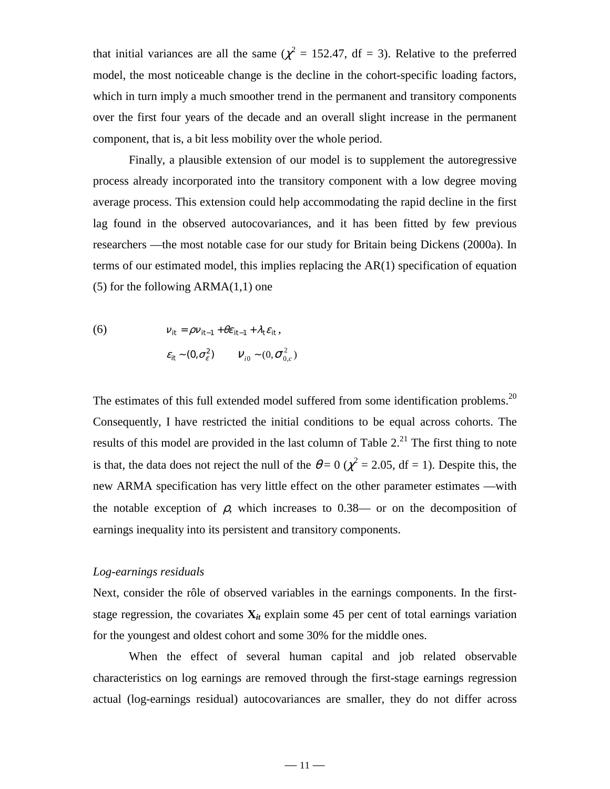that initial variances are all the same ( $\chi^2 = 152.47$ , df = 3). Relative to the preferred model, the most noticeable change is the decline in the cohort-specific loading factors, which in turn imply a much smoother trend in the permanent and transitory components over the first four years of the decade and an overall slight increase in the permanent component, that is, a bit less mobility over the whole period.

Finally, a plausible extension of our model is to supplement the autoregressive process already incorporated into the transitory component with a low degree moving average process. This extension could help accommodating the rapid decline in the first lag found in the observed autocovariances, and it has been fitted by few previous researchers —the most notable case for our study for Britain being Dickens (2000a). In terms of our estimated model, this implies replacing the AR(1) specification of equation  $(5)$  for the following ARMA $(1,1)$  one

(6) 
$$
v_{it} = \rho v_{it-1} + \theta \varepsilon_{it-1} + \lambda_t \varepsilon_{it},
$$

$$
\varepsilon_{it} \sim (0, \sigma_{\varepsilon}^2) \qquad V_{i0} \sim (0, \sigma_{0,c}^2)
$$

The estimates of this full extended model suffered from some identification problems.<sup>20</sup> Consequently, I have restricted the initial conditions to be equal across cohorts. The results of this model are provided in the last column of Table  $2<sup>21</sup>$ . The first thing to note is that, the data does not reject the null of the  $\theta = 0$  ( $\chi^2 = 2.05$ , df = 1). Despite this, the new ARMA specification has very little effect on the other parameter estimates —with the notable exception of  $\rho$ , which increases to 0.38— or on the decomposition of earnings inequality into its persistent and transitory components.

#### *Log-earnings residuals*

Next, consider the rôle of observed variables in the earnings components. In the firststage regression, the covariates  $X_{it}$  explain some 45 per cent of total earnings variation for the youngest and oldest cohort and some 30% for the middle ones.

When the effect of several human capital and job related observable characteristics on log earnings are removed through the first-stage earnings regression actual (log-earnings residual) autocovariances are smaller, they do not differ across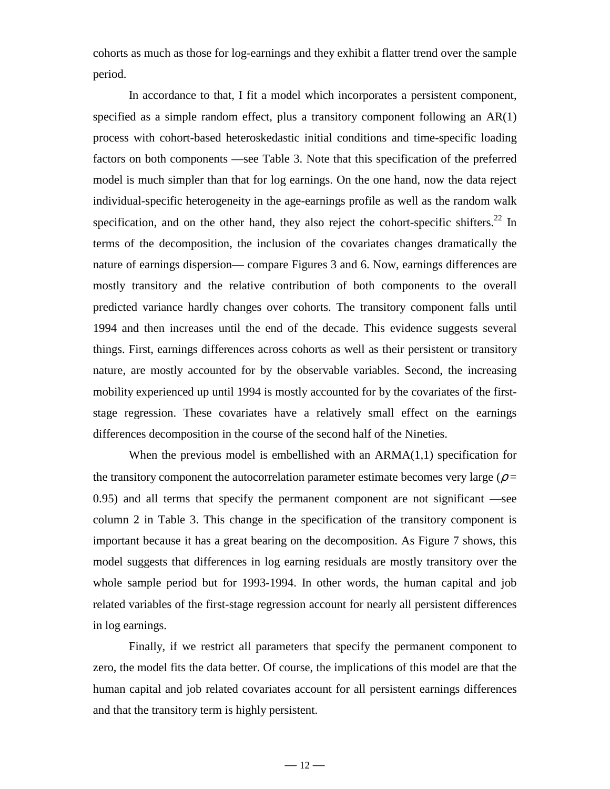cohorts as much as those for log-earnings and they exhibit a flatter trend over the sample period.

In accordance to that, I fit a model which incorporates a persistent component, specified as a simple random effect, plus a transitory component following an AR(1) process with cohort-based heteroskedastic initial conditions and time-specific loading factors on both components —see Table 3. Note that this specification of the preferred model is much simpler than that for log earnings. On the one hand, now the data reject individual-specific heterogeneity in the age-earnings profile as well as the random walk specification, and on the other hand, they also reject the cohort-specific shifters.<sup>22</sup> In terms of the decomposition, the inclusion of the covariates changes dramatically the nature of earnings dispersion— compare Figures 3 and 6. Now, earnings differences are mostly transitory and the relative contribution of both components to the overall predicted variance hardly changes over cohorts. The transitory component falls until 1994 and then increases until the end of the decade. This evidence suggests several things. First, earnings differences across cohorts as well as their persistent or transitory nature, are mostly accounted for by the observable variables. Second, the increasing mobility experienced up until 1994 is mostly accounted for by the covariates of the firststage regression. These covariates have a relatively small effect on the earnings differences decomposition in the course of the second half of the Nineties.

When the previous model is embellished with an  $ARMA(1,1)$  specification for the transitory component the autocorrelation parameter estimate becomes very large ( $\rho =$ 0.95) and all terms that specify the permanent component are not significant —see column 2 in Table 3. This change in the specification of the transitory component is important because it has a great bearing on the decomposition. As Figure 7 shows, this model suggests that differences in log earning residuals are mostly transitory over the whole sample period but for 1993-1994. In other words, the human capital and job related variables of the first-stage regression account for nearly all persistent differences in log earnings.

Finally, if we restrict all parameters that specify the permanent component to zero, the model fits the data better. Of course, the implications of this model are that the human capital and job related covariates account for all persistent earnings differences and that the transitory term is highly persistent.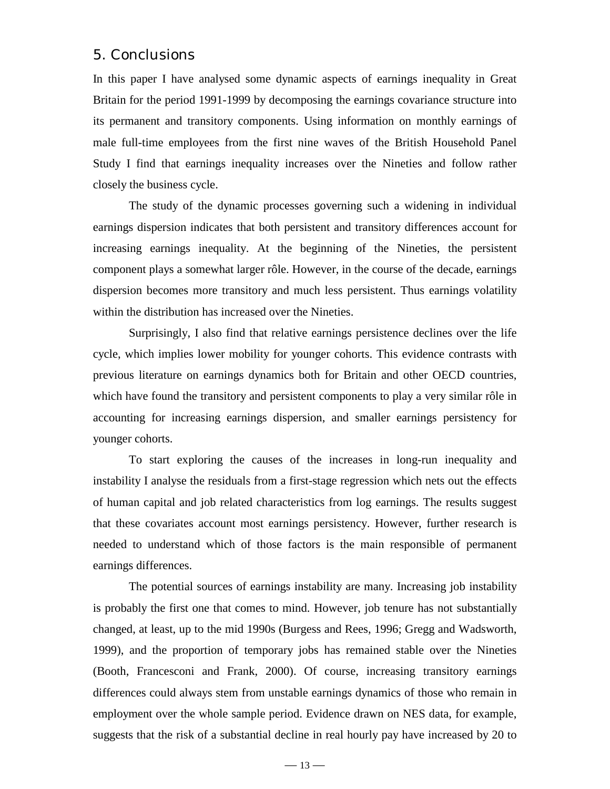## 5. Conclusions

In this paper I have analysed some dynamic aspects of earnings inequality in Great Britain for the period 1991-1999 by decomposing the earnings covariance structure into its permanent and transitory components. Using information on monthly earnings of male full-time employees from the first nine waves of the British Household Panel Study I find that earnings inequality increases over the Nineties and follow rather closely the business cycle.

The study of the dynamic processes governing such a widening in individual earnings dispersion indicates that both persistent and transitory differences account for increasing earnings inequality. At the beginning of the Nineties, the persistent component plays a somewhat larger rôle. However, in the course of the decade, earnings dispersion becomes more transitory and much less persistent. Thus earnings volatility within the distribution has increased over the Nineties.

Surprisingly, I also find that relative earnings persistence declines over the life cycle, which implies lower mobility for younger cohorts. This evidence contrasts with previous literature on earnings dynamics both for Britain and other OECD countries, which have found the transitory and persistent components to play a very similar rôle in accounting for increasing earnings dispersion, and smaller earnings persistency for younger cohorts.

To start exploring the causes of the increases in long-run inequality and instability I analyse the residuals from a first-stage regression which nets out the effects of human capital and job related characteristics from log earnings. The results suggest that these covariates account most earnings persistency. However, further research is needed to understand which of those factors is the main responsible of permanent earnings differences.

The potential sources of earnings instability are many. Increasing job instability is probably the first one that comes to mind. However, job tenure has not substantially changed, at least, up to the mid 1990s (Burgess and Rees, 1996; Gregg and Wadsworth, 1999), and the proportion of temporary jobs has remained stable over the Nineties (Booth, Francesconi and Frank, 2000). Of course, increasing transitory earnings differences could always stem from unstable earnings dynamics of those who remain in employment over the whole sample period. Evidence drawn on NES data, for example, suggests that the risk of a substantial decline in real hourly pay have increased by 20 to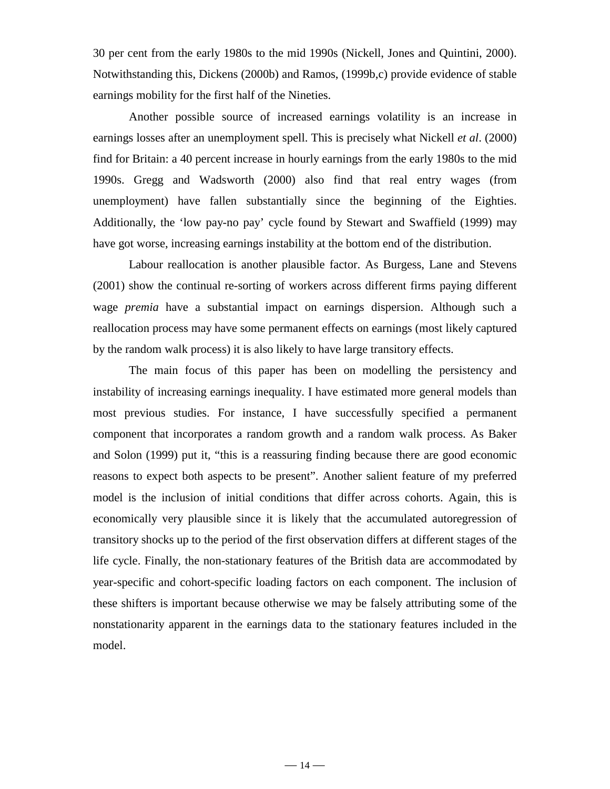30 per cent from the early 1980s to the mid 1990s (Nickell, Jones and Quintini, 2000). Notwithstanding this, Dickens (2000b) and Ramos, (1999b,c) provide evidence of stable earnings mobility for the first half of the Nineties.

Another possible source of increased earnings volatility is an increase in earnings losses after an unemployment spell. This is precisely what Nickell *et al*. (2000) find for Britain: a 40 percent increase in hourly earnings from the early 1980s to the mid 1990s. Gregg and Wadsworth (2000) also find that real entry wages (from unemployment) have fallen substantially since the beginning of the Eighties. Additionally, the 'low pay-no pay' cycle found by Stewart and Swaffield (1999) may have got worse, increasing earnings instability at the bottom end of the distribution.

Labour reallocation is another plausible factor. As Burgess, Lane and Stevens (2001) show the continual re-sorting of workers across different firms paying different wage *premia* have a substantial impact on earnings dispersion. Although such a reallocation process may have some permanent effects on earnings (most likely captured by the random walk process) it is also likely to have large transitory effects.

The main focus of this paper has been on modelling the persistency and instability of increasing earnings inequality. I have estimated more general models than most previous studies. For instance, I have successfully specified a permanent component that incorporates a random growth and a random walk process. As Baker and Solon (1999) put it, "this is a reassuring finding because there are good economic reasons to expect both aspects to be present". Another salient feature of my preferred model is the inclusion of initial conditions that differ across cohorts. Again, this is economically very plausible since it is likely that the accumulated autoregression of transitory shocks up to the period of the first observation differs at different stages of the life cycle. Finally, the non-stationary features of the British data are accommodated by year-specific and cohort-specific loading factors on each component. The inclusion of these shifters is important because otherwise we may be falsely attributing some of the nonstationarity apparent in the earnings data to the stationary features included in the model.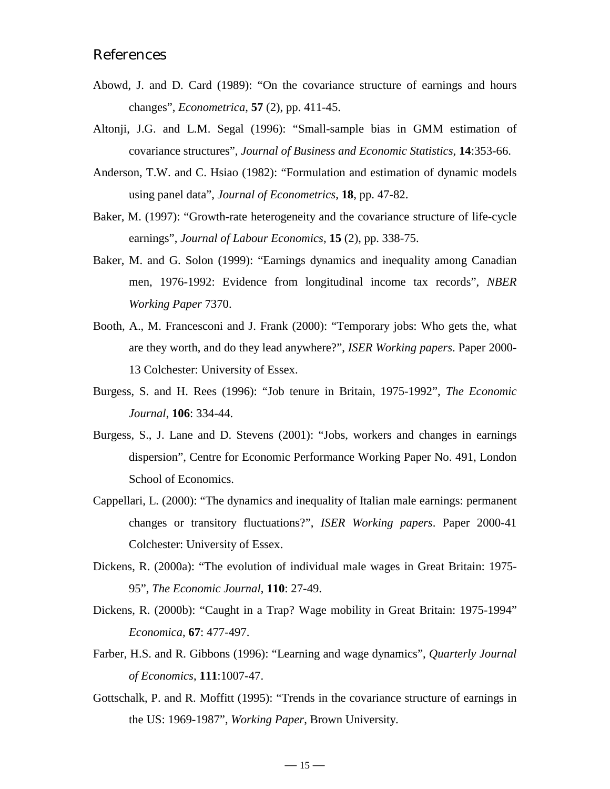# References

- Abowd, J. and D. Card (1989): "On the covariance structure of earnings and hours changes", *Econometrica*, **57** (2), pp. 411-45.
- Altonji, J.G. and L.M. Segal (1996): "Small-sample bias in GMM estimation of covariance structures", *Journal of Business and Economic Statistics*, **14**:353-66.
- Anderson, T.W. and C. Hsiao (1982): "Formulation and estimation of dynamic models using panel data", *Journal of Econometrics*, **18**, pp. 47-82.
- Baker, M. (1997): "Growth-rate heterogeneity and the covariance structure of life-cycle earnings", *Journal of Labour Economics*, **15** (2), pp. 338-75.
- Baker, M. and G. Solon (1999): "Earnings dynamics and inequality among Canadian men, 1976-1992: Evidence from longitudinal income tax records", *NBER Working Paper* 7370.
- Booth, A., M. Francesconi and J. Frank (2000): "Temporary jobs: Who gets the, what are they worth, and do they lead anywhere?", *ISER Working papers*. Paper 2000- 13 Colchester: University of Essex.
- Burgess, S. and H. Rees (1996): "Job tenure in Britain, 1975-1992", *The Economic Journal*, **106**: 334-44.
- Burgess, S., J. Lane and D. Stevens (2001): "Jobs, workers and changes in earnings dispersion", Centre for Economic Performance Working Paper No. 491, London School of Economics.
- Cappellari, L. (2000): "The dynamics and inequality of Italian male earnings: permanent changes or transitory fluctuations?", *ISER Working papers*. Paper 2000-41 Colchester: University of Essex.
- Dickens, R. (2000a): "The evolution of individual male wages in Great Britain: 1975- 95", *The Economic Journal*, **110**: 27-49.
- Dickens, R. (2000b): "Caught in a Trap? Wage mobility in Great Britain: 1975-1994" *Economica*, **67**: 477-497.
- Farber, H.S. and R. Gibbons (1996): "Learning and wage dynamics", *Quarterly Journal of Economics*, **111**:1007-47.
- Gottschalk, P. and R. Moffitt (1995): "Trends in the covariance structure of earnings in the US: 1969-1987", *Working Paper*, Brown University.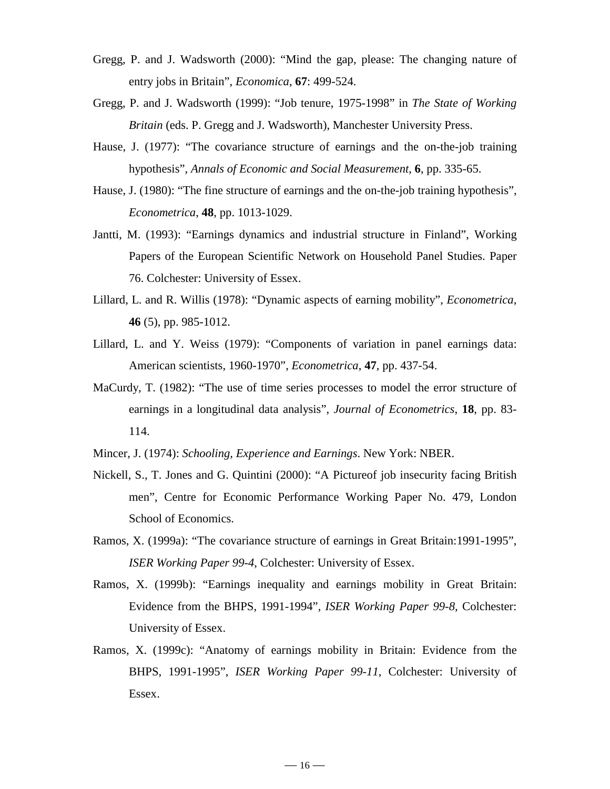- Gregg, P. and J. Wadsworth (2000): "Mind the gap, please: The changing nature of entry jobs in Britain", *Economica*, **67**: 499-524.
- Gregg, P. and J. Wadsworth (1999): "Job tenure, 1975-1998" in *The State of Working Britain* (eds. P. Gregg and J. Wadsworth), Manchester University Press.
- Hause, J. (1977): "The covariance structure of earnings and the on-the-job training hypothesis", *Annals of Economic and Social Measurement*, **6**, pp. 335-65.
- Hause, J. (1980): "The fine structure of earnings and the on-the-job training hypothesis", *Econometrica*, **48**, pp. 1013-1029.
- Jantti, M. (1993): "Earnings dynamics and industrial structure in Finland", Working Papers of the European Scientific Network on Household Panel Studies. Paper 76. Colchester: University of Essex.
- Lillard, L. and R. Willis (1978): "Dynamic aspects of earning mobility", *Econometrica*, **46** (5), pp. 985-1012.
- Lillard, L. and Y. Weiss (1979): "Components of variation in panel earnings data: American scientists, 1960-1970", *Econometrica*, **47**, pp. 437-54.
- MaCurdy, T. (1982): "The use of time series processes to model the error structure of earnings in a longitudinal data analysis", *Journal of Econometrics*, **18**, pp. 83- 114.
- Mincer, J. (1974): *Schooling, Experience and Earnings*. New York: NBER.
- Nickell, S., T. Jones and G. Quintini (2000): "A Pictureof job insecurity facing British men", Centre for Economic Performance Working Paper No. 479, London School of Economics.
- Ramos, X. (1999a): "The covariance structure of earnings in Great Britain:1991-1995", *ISER Working Paper 99-4*, Colchester: University of Essex.
- Ramos, X. (1999b): "Earnings inequality and earnings mobility in Great Britain: Evidence from the BHPS, 1991-1994", *ISER Working Paper 99-8*, Colchester: University of Essex.
- Ramos, X. (1999c): "Anatomy of earnings mobility in Britain: Evidence from the BHPS, 1991-1995", *ISER Working Paper 99-11*, Colchester: University of Essex.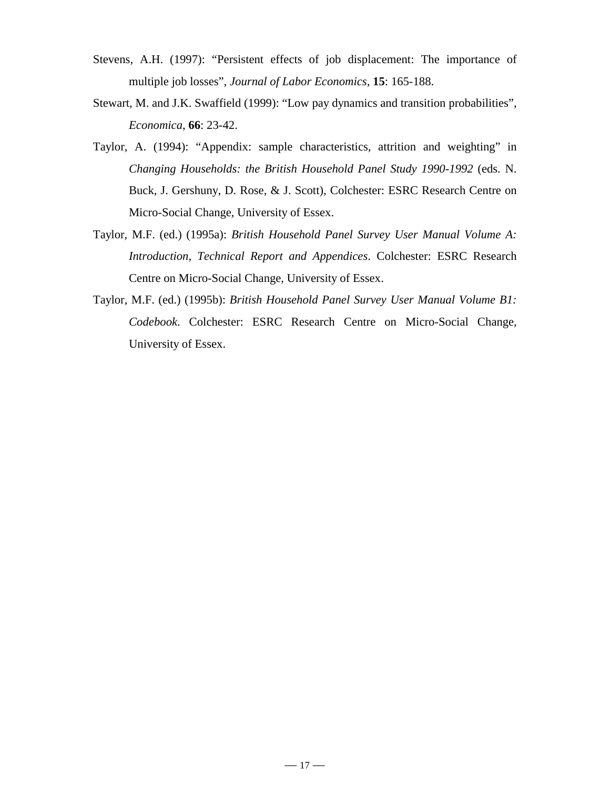- Stevens, A.H. (1997): "Persistent effects of job displacement: The importance of multiple job losses", *Journal of Labor Economics*, **15**: 165-188.
- Stewart, M. and J.K. Swaffield (1999): "Low pay dynamics and transition probabilities", *Economica*, **66**: 23-42.
- Taylor, A. (1994): "Appendix: sample characteristics, attrition and weighting" in *Changing Households: the British Household Panel Study 1990-1992* (eds. N. Buck, J. Gershuny, D. Rose, & J. Scott), Colchester: ESRC Research Centre on Micro-Social Change, University of Essex.
- Taylor, M.F. (ed.) (1995a): *British Household Panel Survey User Manual Volume A: Introduction, Technical Report and Appendices*. Colchester: ESRC Research Centre on Micro-Social Change, University of Essex.
- Taylor, M.F. (ed.) (1995b): *British Household Panel Survey User Manual Volume B1: Codebook*. Colchester: ESRC Research Centre on Micro-Social Change, University of Essex.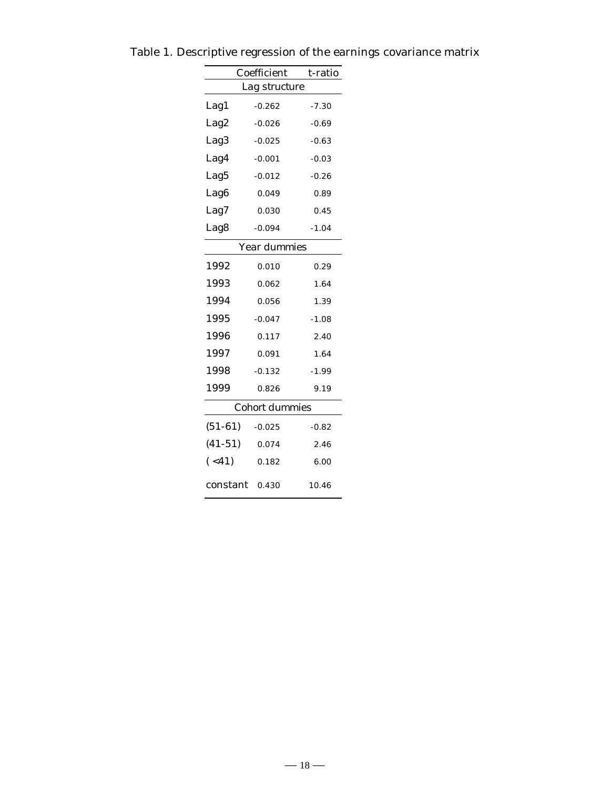|                  | Coefficient | t-ratio |  |  |  |  |  |
|------------------|-------------|---------|--|--|--|--|--|
| Lag structure    |             |         |  |  |  |  |  |
| Lag1             | $-0.262$    | -7.30   |  |  |  |  |  |
| Lag2             | $-0.026$    | $-0.69$ |  |  |  |  |  |
| Lag <sub>3</sub> | $-0.025$    | $-0.63$ |  |  |  |  |  |
| Lag4             | $-0.001$    | $-0.03$ |  |  |  |  |  |
| Lag5             | $-0.012$    | $-0.26$ |  |  |  |  |  |
| Lag <sub>6</sub> | 0.049       | 0.89    |  |  |  |  |  |
| Lag7             | 0.030       | 0.45    |  |  |  |  |  |
| Lag8             | $-0.094$    | $-1.04$ |  |  |  |  |  |
| Year dummies     |             |         |  |  |  |  |  |
| 1992             | 0.010       | 0.29    |  |  |  |  |  |
| 1993             | 0.062       | 1.64    |  |  |  |  |  |
| 1994             | 0.056       | 1.39    |  |  |  |  |  |
| 1995             | $-0.047$    | $-1.08$ |  |  |  |  |  |
| 1996             | 0.117       | 2.40    |  |  |  |  |  |
| 1997             | 0.091       | 1.64    |  |  |  |  |  |
| 1998             | $-0.132$    | $-1.99$ |  |  |  |  |  |
| 1999             | 0.826       | 9.19    |  |  |  |  |  |
| Cohort dummies   |             |         |  |  |  |  |  |
| $(51-61)$        | $-0.025$    | $-0.82$ |  |  |  |  |  |
| $(41-51)$        | 0.074       | 2.46    |  |  |  |  |  |
| $($ <41)         | 0.182       | 6.00    |  |  |  |  |  |
| constant         | 0.430       | 10.46   |  |  |  |  |  |

Table 1. Descriptive regression of the earnings covariance matrix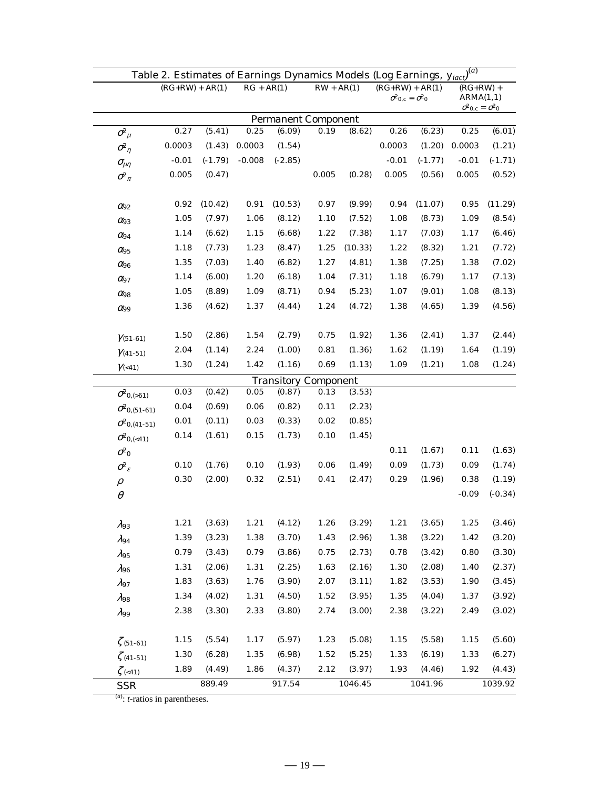| Table 2. Estimates of Earnings Dynamics Models (Log Earnings, $y_{iact}$ ) <sup>(a)</sup> |                              |                   |           |          |                              |                             |                                                                          |                                                     |                          |         |           |
|-------------------------------------------------------------------------------------------|------------------------------|-------------------|-----------|----------|------------------------------|-----------------------------|--------------------------------------------------------------------------|-----------------------------------------------------|--------------------------|---------|-----------|
|                                                                                           |                              | $(RG+RW) + AR(1)$ |           |          | $RG + AR(1)$<br>$RW + AR(1)$ |                             | $(RG+RW) + AR(1)$<br>$\sigma^2$ <sub>0,c</sub> = $\sigma^2$ <sub>0</sub> |                                                     | $(RG+RW)$ +<br>ARMA(1,1) |         |           |
| <b>Permanent Component</b>                                                                |                              |                   |           |          |                              |                             |                                                                          | $\sigma^2$ <sub>0,c</sub> = $\sigma^2$ <sub>0</sub> |                          |         |           |
|                                                                                           | $\sigma_{\mu}^2$             | 0.27              | (5.41)    | 0.25     | (6.09)                       | 0.19                        | (8.62)                                                                   | $0.26\,$                                            | (6.23)                   | 0.25    | (6.01)    |
|                                                                                           | $\sigma^2_{\eta}$            | 0.0003            | (1.43)    | 0.0003   | (1.54)                       |                             |                                                                          | 0.0003                                              | (1.20)                   | 0.0003  | (1.21)    |
|                                                                                           | $\sigma_{\!\mu\eta}$         | $-0.01$           | $(-1.79)$ | $-0.008$ | $(-2.85)$                    |                             |                                                                          | $-0.01$                                             | $(-1.77)$                | $-0.01$ | $(-1.71)$ |
|                                                                                           | $\sigma^2_{\pi}$             | 0.005             | (0.47)    |          |                              | 0.005                       | (0.28)                                                                   | 0.005                                               | (0.56)                   | 0.005   | (0.52)    |
|                                                                                           |                              |                   |           |          |                              |                             |                                                                          |                                                     |                          |         |           |
|                                                                                           | $\alpha_{92}$                | 0.92              | (10.42)   | 0.91     | (10.53)                      | 0.97                        | (9.99)                                                                   | 0.94                                                | (11.07)                  | 0.95    | (11.29)   |
|                                                                                           | $\alpha_{93}$                | 1.05              | (7.97)    | 1.06     | (8.12)                       | 1.10                        | (7.52)                                                                   | 1.08                                                | (8.73)                   | 1.09    | (8.54)    |
|                                                                                           | $\alpha_{94}$                | 1.14              | (6.62)    | 1.15     | (6.68)                       | 1.22                        | (7.38)                                                                   | 1.17                                                | (7.03)                   | 1.17    | (6.46)    |
|                                                                                           | $\alpha_{95}$                | 1.18              | (7.73)    | 1.23     | (8.47)                       | 1.25                        | (10.33)                                                                  | 1.22                                                | (8.32)                   | 1.21    | (7.72)    |
|                                                                                           | $\alpha_{96}$                | 1.35              | (7.03)    | 1.40     | (6.82)                       | 1.27                        | (4.81)                                                                   | 1.38                                                | (7.25)                   | 1.38    | (7.02)    |
|                                                                                           | $\alpha_{97}$                | 1.14              | (6.00)    | 1.20     | (6.18)                       | 1.04                        | (7.31)                                                                   | 1.18                                                | (6.79)                   | 1.17    | (7.13)    |
|                                                                                           | $\alpha_{98}$                | 1.05              | (8.89)    | 1.09     | (8.71)                       | 0.94                        | (5.23)                                                                   | 1.07                                                | (9.01)                   | 1.08    | (8.13)    |
|                                                                                           | $\alpha_{99}$                | 1.36              | (4.62)    | 1.37     | (4.44)                       | 1.24                        | (4.72)                                                                   | 1.38                                                | (4.65)                   | 1.39    | (4.56)    |
|                                                                                           |                              |                   |           |          |                              |                             |                                                                          |                                                     |                          |         |           |
|                                                                                           | $\gamma_{(51-61)}$           | 1.50              | (2.86)    | 1.54     | (2.79)                       | 0.75                        | (1.92)                                                                   | 1.36                                                | (2.41)                   | 1.37    | (2.44)    |
|                                                                                           | $\gamma_{(41-51)}$           | 2.04              | (1.14)    | 2.24     | (1.00)                       | 0.81                        | (1.36)                                                                   | 1.62                                                | (1.19)                   | 1.64    | (1.19)    |
|                                                                                           | $\gamma_{\left( <41\right)}$ | 1.30              | (1.24)    | 1.42     | (1.16)                       | 0.69                        | (1.13)                                                                   | 1.09                                                | (1.21)                   | 1.08    | (1.24)    |
|                                                                                           |                              |                   |           |          |                              | <b>Transitory Component</b> |                                                                          |                                                     |                          |         |           |
|                                                                                           | $\sigma_{0,(>61)}^2$         | 0.03              | (0.42)    | 0.05     | (0.87)                       | 0.13                        | (3.53)                                                                   |                                                     |                          |         |           |
|                                                                                           | $\sigma_{0,(51-61)}^2$       | 0.04              | (0.69)    | 0.06     | (0.82)                       | 0.11                        | (2.23)                                                                   |                                                     |                          |         |           |
|                                                                                           | $\sigma_{0,(41-51)}^2$       | 0.01              | (0.11)    | 0.03     | (0.33)                       | 0.02                        | (0.85)                                                                   |                                                     |                          |         |           |
|                                                                                           | $\sigma_{0,(<41)}^2$         | 0.14              | (1.61)    | 0.15     | (1.73)                       | 0.10                        | (1.45)                                                                   |                                                     |                          |         |           |
|                                                                                           | $\sigma^2$ <sup>0</sup>      |                   |           |          |                              |                             |                                                                          | 0.11                                                | (1.67)                   | 0.11    | (1.63)    |
|                                                                                           | $\sigma_{\varepsilon}^2$     | 0.10              | (1.76)    | 0.10     | (1.93)                       | 0.06                        | (1.49)                                                                   | 0.09                                                | (1.73)                   | 0.09    | (1.74)    |
|                                                                                           | $\rho$                       | 0.30              | (2.00)    | 0.32     | (2.51)                       | 0.41                        | (2.47)                                                                   | 0.29                                                | (1.96)                   | 0.38    | (1.19)    |
|                                                                                           | $\theta$                     |                   |           |          |                              |                             |                                                                          |                                                     |                          | $-0.09$ | $(-0.34)$ |
|                                                                                           |                              |                   |           |          |                              |                             |                                                                          |                                                     |                          |         |           |
|                                                                                           | $\lambda_{93}$               | 1.21              | (3.63)    | 1.21     | (4.12)                       | 1.26                        | (3.29)                                                                   | 1.21                                                | (3.65)                   | 1.25    | (3.46)    |
|                                                                                           | $\lambda_{94}$               | 1.39              | (3.23)    | 1.38     | (3.70)                       | 1.43                        | (2.96)                                                                   | 1.38                                                | (3.22)                   | 1.42    | (3.20)    |
|                                                                                           | $\lambda$ 95                 | 0.79              | (3.43)    | 0.79     | (3.86)                       | 0.75                        | (2.73)                                                                   | 0.78                                                | (3.42)                   | 0.80    | (3.30)    |
|                                                                                           | $\lambda_{96}$               | 1.31              | (2.06)    | 1.31     | (2.25)                       | 1.63                        | (2.16)                                                                   | 1.30                                                | (2.08)                   | 1.40    | (2.37)    |
|                                                                                           | $\lambda_{97}$               | 1.83              | (3.63)    | 1.76     | (3.90)                       | 2.07                        | (3.11)                                                                   | 1.82                                                | (3.53)                   | 1.90    | (3.45)    |
|                                                                                           | $\lambda$ 98                 | 1.34              | (4.02)    | 1.31     | (4.50)                       | 1.52                        | (3.95)                                                                   | 1.35                                                | (4.04)                   | 1.37    | (3.92)    |
|                                                                                           | $\lambda$ 99                 | 2.38              | (3.30)    | 2.33     | (3.80)                       | 2.74                        | (3.00)                                                                   | 2.38                                                | (3.22)                   | 2.49    | (3.02)    |
|                                                                                           |                              |                   |           |          |                              |                             |                                                                          |                                                     |                          |         |           |
|                                                                                           | $\zeta$ (51-61)              | $1.15\,$          | (5.54)    | 1.17     | (5.97)                       | 1.23                        | (5.08)                                                                   | 1.15                                                | (5.58)                   | 1.15    | (5.60)    |
|                                                                                           | $\zeta$ (41-51)              | 1.30              | (6.28)    | 1.35     | (6.98)                       | 1.52                        | (5.25)                                                                   | 1.33                                                | (6.19)                   | 1.33    | (6.27)    |
|                                                                                           | $\zeta$ (<41)                | 1.89              | (4.49)    | 1.86     | (4.37)                       | 2.12                        | (3.97)                                                                   | 1.93                                                | (4.46)                   | 1.92    | (4.43)    |
|                                                                                           | <b>SSR</b>                   |                   | 889.49    |          | 917.54                       |                             | 1046.45                                                                  |                                                     | 1041.96                  |         | 1039.92   |

(*a*) : *t*-ratios in parentheses.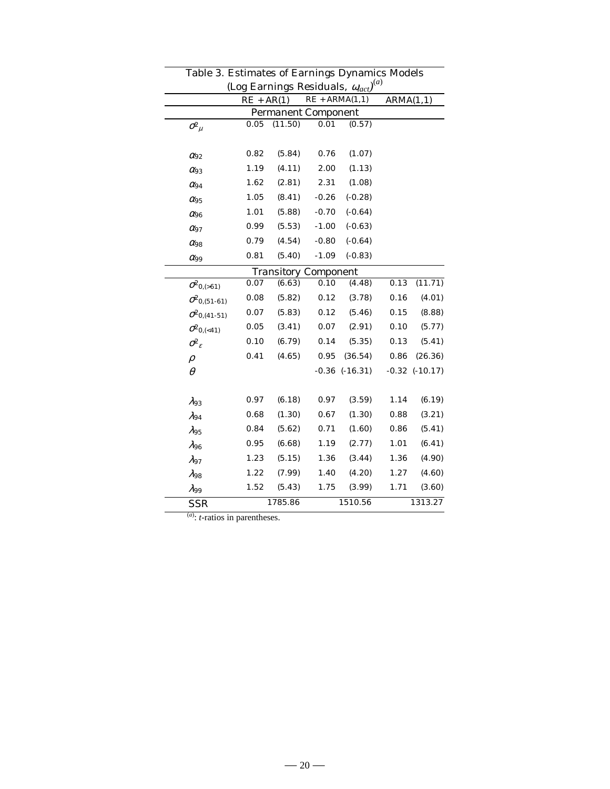| rable 5. Estimates of Earnings Dynamics Models<br>$\mathbf{a}$<br>(Log Earnings Residuals, $\omega_{act}$ |      |                                  |                             |                    |           |                    |  |
|-----------------------------------------------------------------------------------------------------------|------|----------------------------------|-----------------------------|--------------------|-----------|--------------------|--|
|                                                                                                           |      | $RE + ARMA(1,1)$<br>$RE + AR(1)$ |                             |                    | ARMA(1,1) |                    |  |
| <b>Permanent Component</b>                                                                                |      |                                  |                             |                    |           |                    |  |
| $\sigma_{\mu}^2$                                                                                          | 0.05 | (11.50)                          | 0.01                        | (0.57)             |           |                    |  |
|                                                                                                           |      |                                  |                             |                    |           |                    |  |
| $\alpha_{92}$                                                                                             | 0.82 | (5.84)                           | 0.76                        | (1.07)             |           |                    |  |
| $\alpha_{93}$                                                                                             | 1.19 | (4.11)                           | 2.00                        | (1.13)             |           |                    |  |
| $\alpha_{94}$                                                                                             | 1.62 | (2.81)                           | 2.31                        | (1.08)             |           |                    |  |
| $\alpha_{95}$                                                                                             | 1.05 | (8.41)                           | $-0.26$                     | $(-0.28)$          |           |                    |  |
| $\alpha_{96}$                                                                                             | 1.01 | (5.88)                           | $-0.70$                     | $(-0.64)$          |           |                    |  |
| $\alpha_{97}$                                                                                             | 0.99 | (5.53)                           | $-1.00$                     | $(-0.63)$          |           |                    |  |
| $\alpha_{98}$                                                                                             | 0.79 | (4.54)                           | $-0.80$                     | $(-0.64)$          |           |                    |  |
| $\alpha_{99}$                                                                                             | 0.81 | (5.40)                           | $-1.09$                     | $(-0.83)$          |           |                    |  |
|                                                                                                           |      |                                  | <b>Transitory Component</b> |                    |           |                    |  |
| $\sigma_{0,(>61)}^2$                                                                                      | 0.07 | (6.63)                           | 0.10                        | (4.48)             | 0.13      | (11.71)            |  |
| $\sigma_{0,(51-61)}^2$                                                                                    | 0.08 | (5.82)                           | 0.12                        | (3.78)             | 0.16      | (4.01)             |  |
| $\sigma_{0,(41-51)}^2$                                                                                    | 0.07 | (5.83)                           | 0.12                        | (5.46)             | 0.15      | (8.88)             |  |
| $\sigma_{0,(<41)}^2$                                                                                      | 0.05 | (3.41)                           | 0.07                        | (2.91)             | 0.10      | (5.77)             |  |
| $\sigma_{\rm c}^2$                                                                                        | 0.10 | (6.79)                           | 0.14                        | (5.35)             | 0.13      | (5.41)             |  |
| $\rho$                                                                                                    | 0.41 | (4.65)                           | 0.95                        | (36.54)            | 0.86      | (26.36)            |  |
| $\theta$                                                                                                  |      |                                  |                             | $-0.36$ $(-16.31)$ |           | $-0.32$ $(-10.17)$ |  |
|                                                                                                           |      |                                  |                             |                    |           |                    |  |
| $\lambda_{93}$                                                                                            | 0.97 | (6.18)                           | 0.97                        | (3.59)             | 1.14      | (6.19)             |  |
| $\lambda_{94}$                                                                                            | 0.68 | (1.30)                           | 0.67                        | (1.30)             | 0.88      | (3.21)             |  |
| $\lambda_{95}$                                                                                            | 0.84 | (5.62)                           | 0.71                        | (1.60)             | 0.86      | (5.41)             |  |
| $\lambda_{96}$                                                                                            | 0.95 | (6.68)                           | 1.19                        | (2.77)             | 1.01      | (6.41)             |  |
| $\lambda_{97}$                                                                                            | 1.23 | (5.15)                           | 1.36                        | (3.44)             | 1.36      | (4.90)             |  |
| $\lambda_{98}$                                                                                            | 1.22 | (7.99)                           | 1.40                        | (4.20)             | 1.27      | (4.60)             |  |
| $\lambda_{99}$                                                                                            | 1.52 | (5.43)                           | 1.75                        | (3.99)             | 1.71      | (3.60)             |  |
| <b>SSR</b>                                                                                                |      | 1785.86                          |                             | 1510.56            |           | 1313.27            |  |

Table 3. Estimates of Earnings Dynamics Models

(*a*) : *t*-ratios in parentheses.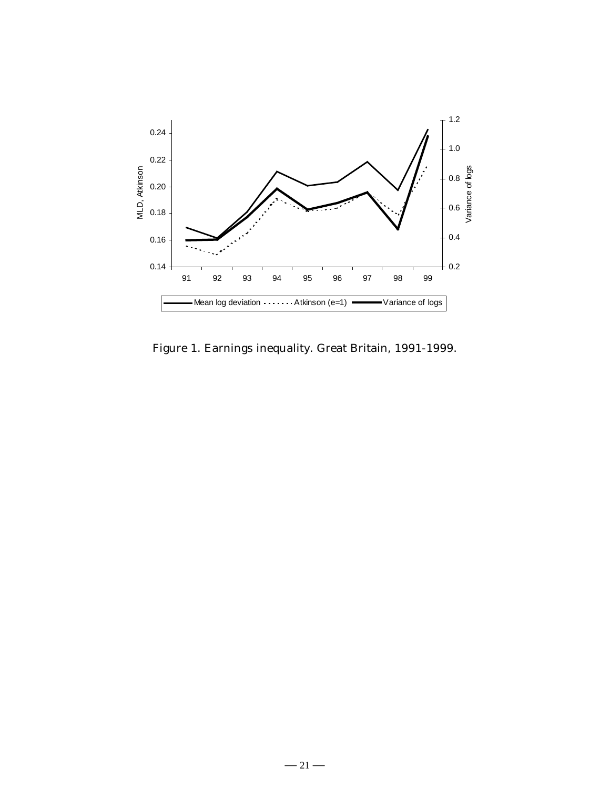

Figure 1. Earnings inequality. Great Britain, 1991-1999.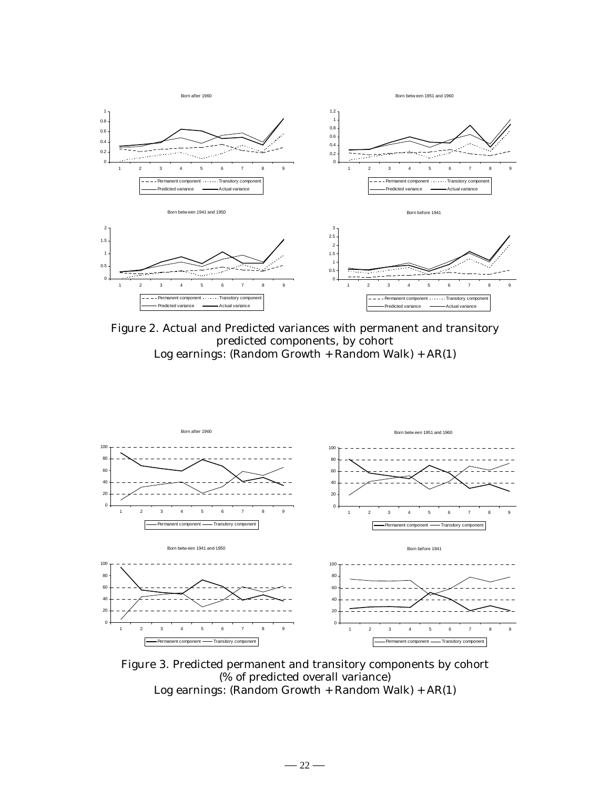

Figure 2. Actual and Predicted variances with permanent and transitory predicted components, by cohort Log earnings: (Random Growth + Random Walk) + AR(1)



Figure 3. Predicted permanent and transitory components by cohort (% of predicted overall variance) Log earnings: (Random Growth + Random Walk) + AR(1)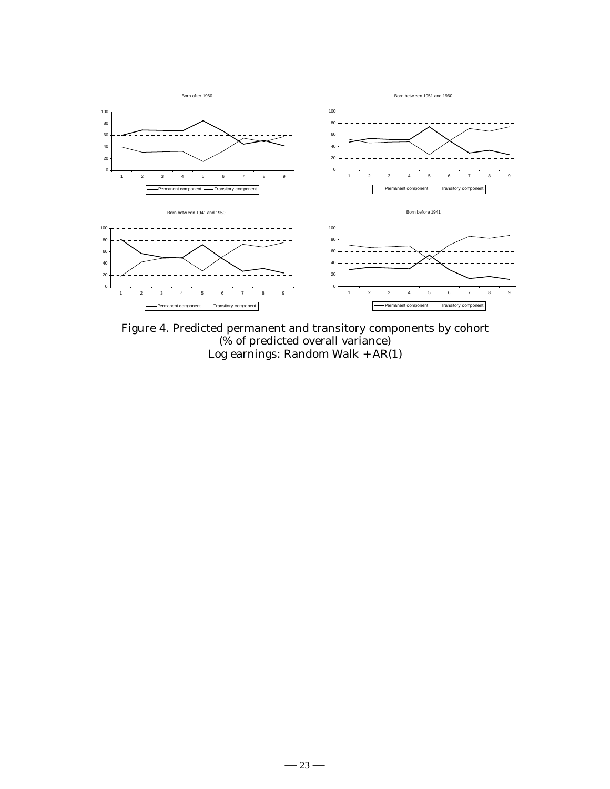

Figure 4. Predicted permanent and transitory components by cohort (% of predicted overall variance) Log earnings: Random Walk + AR(1)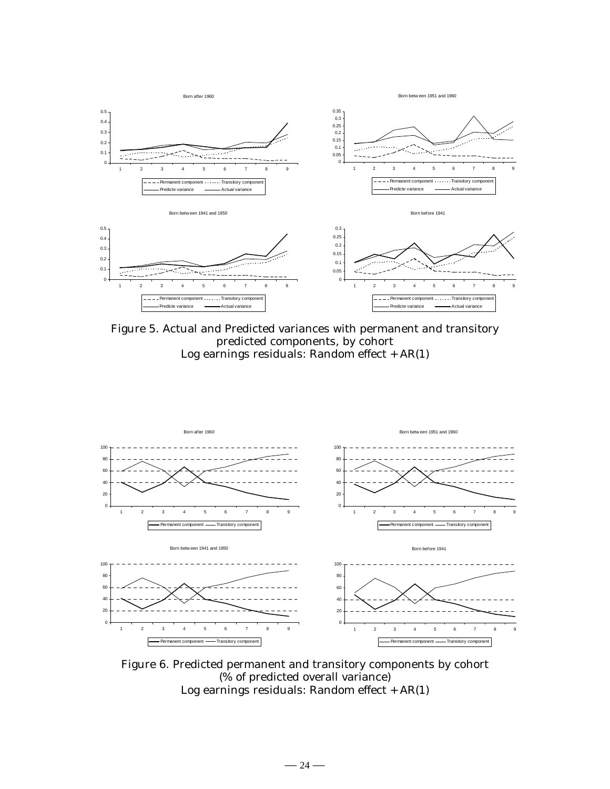![](_page_25_Figure_0.jpeg)

Figure 5. Actual and Predicted variances with permanent and transitory predicted components, by cohort Log earnings residuals: Random effect  $+$  AR(1)

![](_page_25_Figure_2.jpeg)

Figure 6. Predicted permanent and transitory components by cohort (% of predicted overall variance) Log earnings residuals: Random effect + AR(1)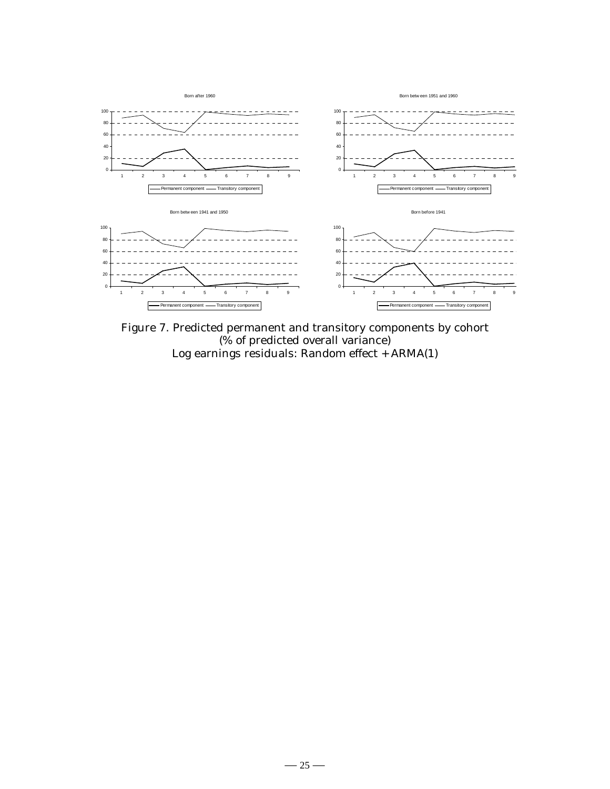![](_page_26_Figure_0.jpeg)

Figure 7. Predicted permanent and transitory components by cohort (% of predicted overall variance) Log earnings residuals: Random effect + ARMA(1)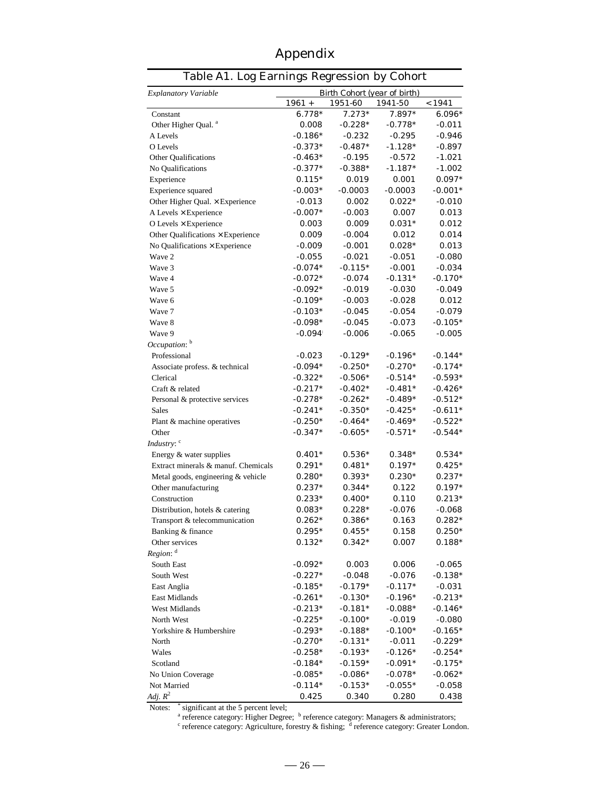| Appendix |
|----------|
|----------|

|                                     | Table A1. Log Earnings Regression by Cohort |                     |                   |           |  |  |  |
|-------------------------------------|---------------------------------------------|---------------------|-------------------|-----------|--|--|--|
| <b>Explanatory Variable</b>         | Birth Cohort (year of birth)<br>1961 +      | < 1941              |                   |           |  |  |  |
| Constant                            | $6.778*$                                    | 1951-60<br>$7.273*$ | 1941-50<br>7.897* | 6.096*    |  |  |  |
| Other Higher Qual. <sup>a</sup>     | 0.008                                       | $-0.228*$           | $-0.778*$         | -0.011    |  |  |  |
| A Levels                            | $-0.186*$                                   | $-0.232$            | $-0.295$          | $-0.946$  |  |  |  |
| O Levels                            | $-0.373*$                                   | $-0.487*$           | $-1.128*$         | $-0.897$  |  |  |  |
| Other Qualifications                | $-0.463*$                                   | -0.195              | $-0.572$          | -1.021    |  |  |  |
| No Qualifications                   | $-0.377*$                                   | $-0.388*$           | $-1.187*$         | $-1.002$  |  |  |  |
| Experience                          | $0.115*$                                    | 0.019               | 0.001             | $0.097*$  |  |  |  |
| Experience squared                  | $-0.003*$                                   | $-0.0003$           | $-0.0003$         | $-0.001*$ |  |  |  |
| Other Higher Qual. × Experience     | $-0.013$                                    | 0.002               | $0.022*$          | $-0.010$  |  |  |  |
| A Levels × Experience               | $-0.007*$                                   | $-0.003$            | 0.007             | 0.013     |  |  |  |
| O Levels $\times$ Experience        | 0.003                                       | 0.009               | $0.031*$          | 0.012     |  |  |  |
| Other Qualifications × Experience   | 0.009                                       | $-0.004$            | 0.012             | 0.014     |  |  |  |
| No Qualifications × Experience      | $-0.009$                                    | $-0.001$            | $0.028*$          | 0.013     |  |  |  |
| Wave 2                              | $-0.055$                                    | $-0.021$            | $-0.051$          | $-0.080$  |  |  |  |
| Wave 3                              | $-0.074*$                                   | $-0.115*$           | $-0.001$          | -0.034    |  |  |  |
| Wave 4                              | $-0.072*$                                   | $-0.074$            | $-0.131*$         | $-0.170*$ |  |  |  |
| Wave 5                              | $-0.092*$                                   | $-0.019$            | $-0.030$          | $-0.049$  |  |  |  |
| Wave 6                              | $-0.109*$                                   | $-0.003$            | $-0.028$          | 0.012     |  |  |  |
| Wave 7                              | $-0.103*$                                   | $-0.045$            | $-0.054$          | $-0.079$  |  |  |  |
| Wave 8                              | $-0.098*$                                   | $-0.045$            | $-0.073$          | $-0.105*$ |  |  |  |
| Wave 9                              | $-0.094$                                    | $-0.006$            | $-0.065$          | -0.005    |  |  |  |
| Occupation: b                       |                                             |                     |                   |           |  |  |  |
| Professional                        | $-0.023$                                    | $-0.129*$           | $-0.196*$         | $-0.144*$ |  |  |  |
| Associate profess. & technical      | $-0.094*$                                   | $-0.250*$           | $-0.270*$         | $-0.174*$ |  |  |  |
| Clerical                            | $-0.322*$                                   | $-0.506*$           | $-0.514*$         | $-0.593*$ |  |  |  |
| Craft & related                     | $-0.217*$                                   | $-0.402*$           | $-0.481*$         | $-0.426*$ |  |  |  |
| Personal & protective services      | $-0.278*$                                   | $-0.262*$           | $-0.489*$         | $-0.512*$ |  |  |  |
| <b>Sales</b>                        | $-0.241*$                                   | $-0.350*$           | $-0.425*$         | $-0.611*$ |  |  |  |
| Plant & machine operatives          | $-0.250*$                                   | $-0.464*$           | $-0.469*$         | $-0.522*$ |  |  |  |
| Other                               | $-0.347*$                                   | $-0.605*$           | -0.571*           | -0.544*   |  |  |  |
| Industry: c                         |                                             |                     |                   |           |  |  |  |
| Energy & water supplies             | $0.401*$                                    | $0.536*$            | $0.348*$          | $0.534*$  |  |  |  |
| Extract minerals & manuf. Chemicals | $0.291*$                                    | $0.481*$            | $0.197*$          | $0.425*$  |  |  |  |
| Metal goods, engineering & vehicle  | $0.280*$                                    | $0.393*$            | $0.230^{*}$       | $0.237*$  |  |  |  |
| Other manufacturing                 | $0.237*$                                    | $0.344*$            | 0.122             | $0.197*$  |  |  |  |
| Construction                        | $0.233*$                                    | $0.400*$            | 0.110             | $0.213*$  |  |  |  |
| Distribution, hotels & catering     | $0.083^{*}$                                 | $0.228*$            | $-0.076$          | -0.068    |  |  |  |
| Transport & telecommunication       | $0.262*$                                    | $0.386*$            | 0.163             | $0.282*$  |  |  |  |
| Banking & finance                   | $0.295*$                                    | $0.455*$            | 0.158             | $0.250*$  |  |  |  |
| Other services                      | $0.132*$                                    | $0.342*$            | 0.007             | $0.188*$  |  |  |  |
| Region: d                           |                                             |                     |                   |           |  |  |  |
| South East                          | $-0.092*$                                   | 0.003               | 0.006             | $-0.065$  |  |  |  |
| South West                          | $-0.227*$                                   | $-0.048$            | $-0.076$          | $-0.138*$ |  |  |  |
| East Anglia                         | $-0.185*$                                   | $-0.179*$           | $-0.117*$         | $-0.031$  |  |  |  |
| East Midlands                       | $-0.261*$                                   | $-0.130*$           | $-0.196*$         | $-0.213*$ |  |  |  |
| West Midlands                       | $-0.213*$                                   | $-0.181*$           | $-0.088*$         | $-0.146*$ |  |  |  |
| North West                          | $-0.225*$                                   | $-0.100*$           | $-0.019$          | $-0.080$  |  |  |  |
| Yorkshire & Humbershire             | $-0.293*$                                   | $-0.188*$           | $-0.100*$         | $-0.165*$ |  |  |  |
| North                               | $-0.270*$                                   | $-0.131*$           | $-0.011$          | $-0.229*$ |  |  |  |
| Wales                               | $-0.258*$                                   | $-0.193*$           | $-0.126*$         | $-0.254*$ |  |  |  |
| Scotland                            | $-0.184*$                                   | $-0.159*$           | $-0.091*$         | $-0.175*$ |  |  |  |
| No Union Coverage                   | $-0.085*$                                   | $-0.086*$           | $-0.078*$         | $-0.062*$ |  |  |  |
| Not Married                         | $-0.114*$                                   | $-0.153*$           | $-0.055*$         | $-0.058$  |  |  |  |
| Adj. $R^2$                          | 0.425                                       | 0.340               | 0.280             | 0.438     |  |  |  |

Notes:

\* significant at the 5 percent level;<br><sup>a</sup> reference category: Higher Degree; <sup>b</sup> reference category: Managers & administrators;<br><sup>c</sup> reference category: Agriculture, forestry & fishing; <sup>d</sup> reference category: Greater Londo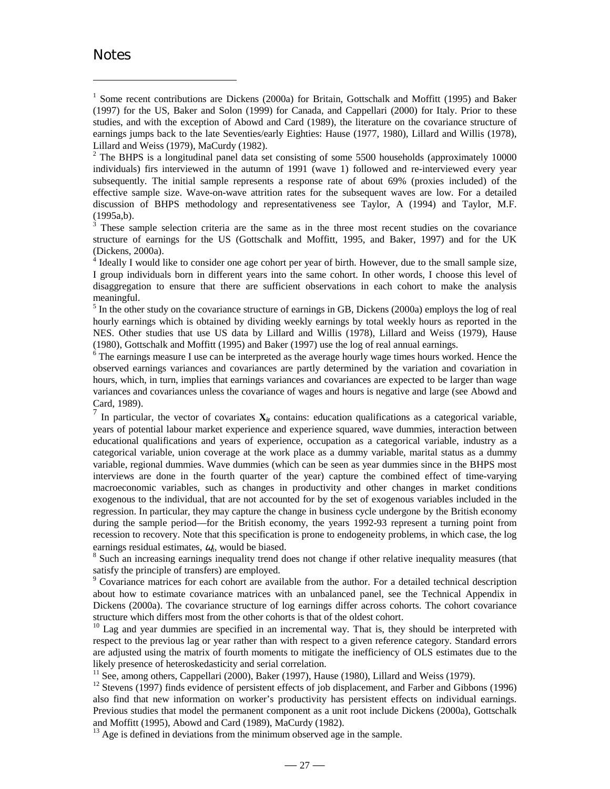#### **Notes**

 $\overline{a}$ 

 $2$  The BHPS is a longitudinal panel data set consisting of some 5500 households (approximately 10000 individuals) firs interviewed in the autumn of 1991 (wave 1) followed and re-interviewed every year subsequently. The initial sample represents a response rate of about 69% (proxies included) of the effective sample size. Wave-on-wave attrition rates for the subsequent waves are low. For a detailed discussion of BHPS methodology and representativeness see Taylor, A (1994) and Taylor, M.F. (1995a,b).

<sup>3</sup> These sample selection criteria are the same as in the three most recent studies on the covariance structure of earnings for the US (Gottschalk and Moffitt, 1995, and Baker, 1997) and for the UK (Dickens, 2000a).

<sup>4</sup> Ideally I would like to consider one age cohort per year of birth. However, due to the small sample size, I group individuals born in different years into the same cohort. In other words, I choose this level of disaggregation to ensure that there are sufficient observations in each cohort to make the analysis meaningful.

 $<sup>5</sup>$  In the other study on the covariance structure of earnings in GB, Dickens (2000a) employs the log of real</sup> hourly earnings which is obtained by dividing weekly earnings by total weekly hours as reported in the NES. Other studies that use US data by Lillard and Willis (1978), Lillard and Weiss (1979), Hause (1980), Gottschalk and Moffitt (1995) and Baker (1997) use the log of real annual earnings.

<sup>6</sup> The earnings measure I use can be interpreted as the average hourly wage times hours worked. Hence the observed earnings variances and covariances are partly determined by the variation and covariation in hours, which, in turn, implies that earnings variances and covariances are expected to be larger than wage variances and covariances unless the covariance of wages and hours is negative and large (see Abowd and Card, 1989).

7 In particular, the vector of covariates  $\mathbf{X}_u$  contains: education qualifications as a categorical variable, years of potential labour market experience and experience squared, wave dummies, interaction between educational qualifications and years of experience, occupation as a categorical variable, industry as a categorical variable, union coverage at the work place as a dummy variable, marital status as a dummy variable, regional dummies. Wave dummies (which can be seen as year dummies since in the BHPS most interviews are done in the fourth quarter of the year) capture the combined effect of time-varying macroeconomic variables, such as changes in productivity and other changes in market conditions exogenous to the individual, that are not accounted for by the set of exogenous variables included in the regression. In particular, they may capture the change in business cycle undergone by the British economy during the sample period—for the British economy, the years 1992-93 represent a turning point from recession to recovery. Note that this specification is prone to endogeneity problems, in which case, the log earnings residual estimates,  $\omega_t$ , would be biased.

<sup>8</sup> Such an increasing earnings inequality trend does not change if other relative inequality measures (that satisfy the principle of transfers) are employed.

<sup>9</sup> Covariance matrices for each cohort are available from the author. For a detailed technical description about how to estimate covariance matrices with an unbalanced panel, see the Technical Appendix in Dickens (2000a). The covariance structure of log earnings differ across cohorts. The cohort covariance structure which differs most from the other cohorts is that of the oldest cohort.

<sup>10</sup> Lag and year dummies are specified in an incremental way. That is, they should be interpreted with respect to the previous lag or year rather than with respect to a given reference category. Standard errors are adjusted using the matrix of fourth moments to mitigate the inefficiency of OLS estimates due to the likely presence of heteroskedasticity and serial correlation.

<sup>11</sup> See, among others, Cappellari (2000), Baker (1997), Hause (1980), Lillard and Weiss (1979).

<sup>12</sup> Stevens (1997) finds evidence of persistent effects of job displacement, and Farber and Gibbons (1996) also find that new information on worker's productivity has persistent effects on individual earnings. Previous studies that model the permanent component as a unit root include Dickens (2000a), Gottschalk and Moffitt (1995), Abowd and Card (1989), MaCurdy (1982).

 $13$  Age is defined in deviations from the minimum observed age in the sample.

<sup>&</sup>lt;sup>1</sup> Some recent contributions are Dickens (2000a) for Britain, Gottschalk and Moffitt (1995) and Baker (1997) for the US, Baker and Solon (1999) for Canada, and Cappellari (2000) for Italy. Prior to these studies, and with the exception of Abowd and Card (1989), the literature on the covariance structure of earnings jumps back to the late Seventies/early Eighties: Hause (1977, 1980), Lillard and Willis (1978), Lillard and Weiss (1979), MaCurdy (1982).